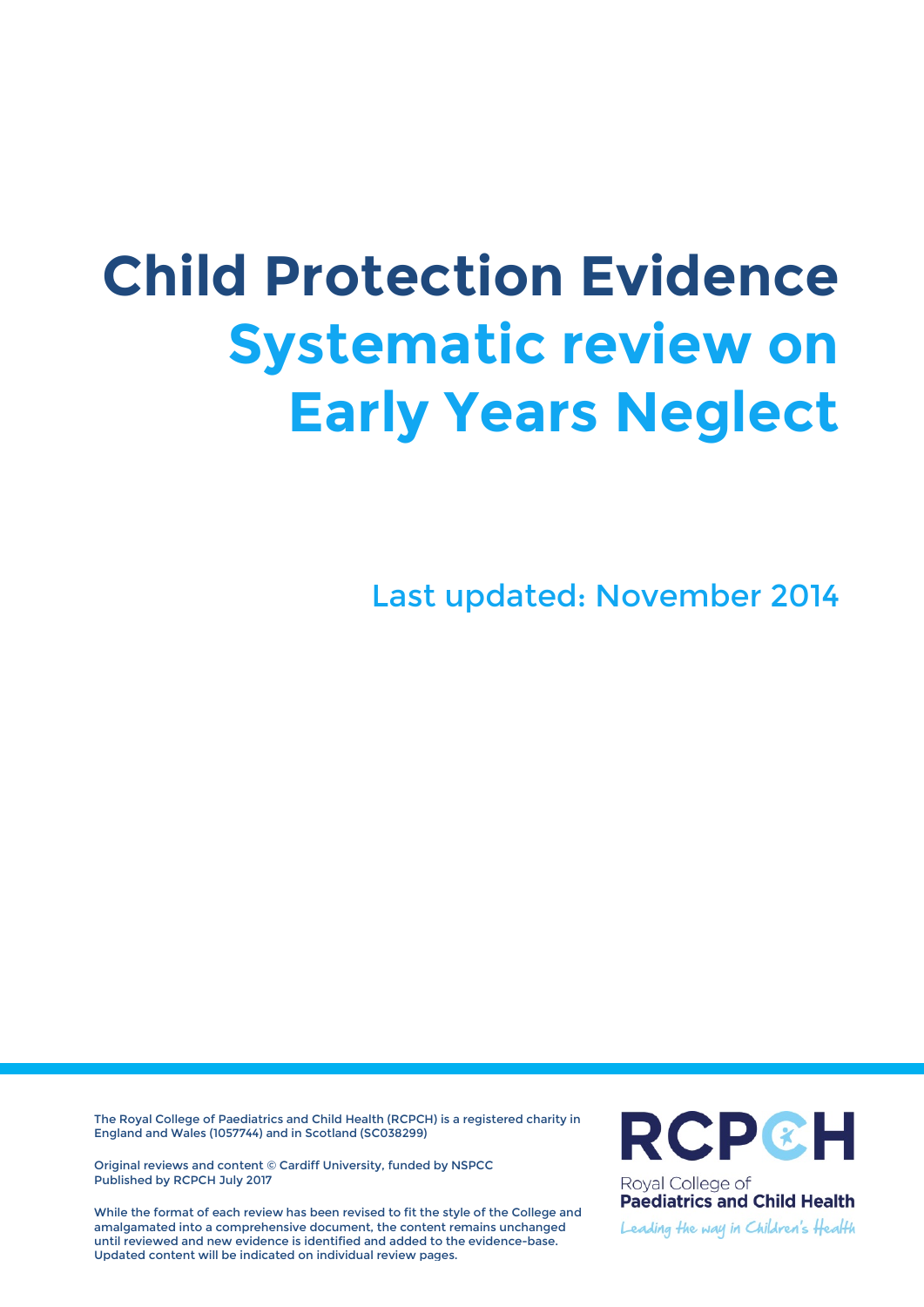# **Child Protection Evidence Systematic review on Early Years Neglect**

Last updated: November 2014

The Royal College of Paediatrics and Child Health (RCPCH) is a registered charity in England and Wales (1057744) and in Scotland (SC038299)

Original reviews and content © Cardiff University, funded by NSPCC Published by RCPCH July 2017

While the format of each review has been revised to fit the style of the College and amalgamated into a comprehensive document, the content remains unchanged until reviewed and new evidence is identified and added to the evidence-base. Updated content will be indicated on individual review pages.



Royal College of **Paediatrics and Child Health** 

Leading the way in Children's Health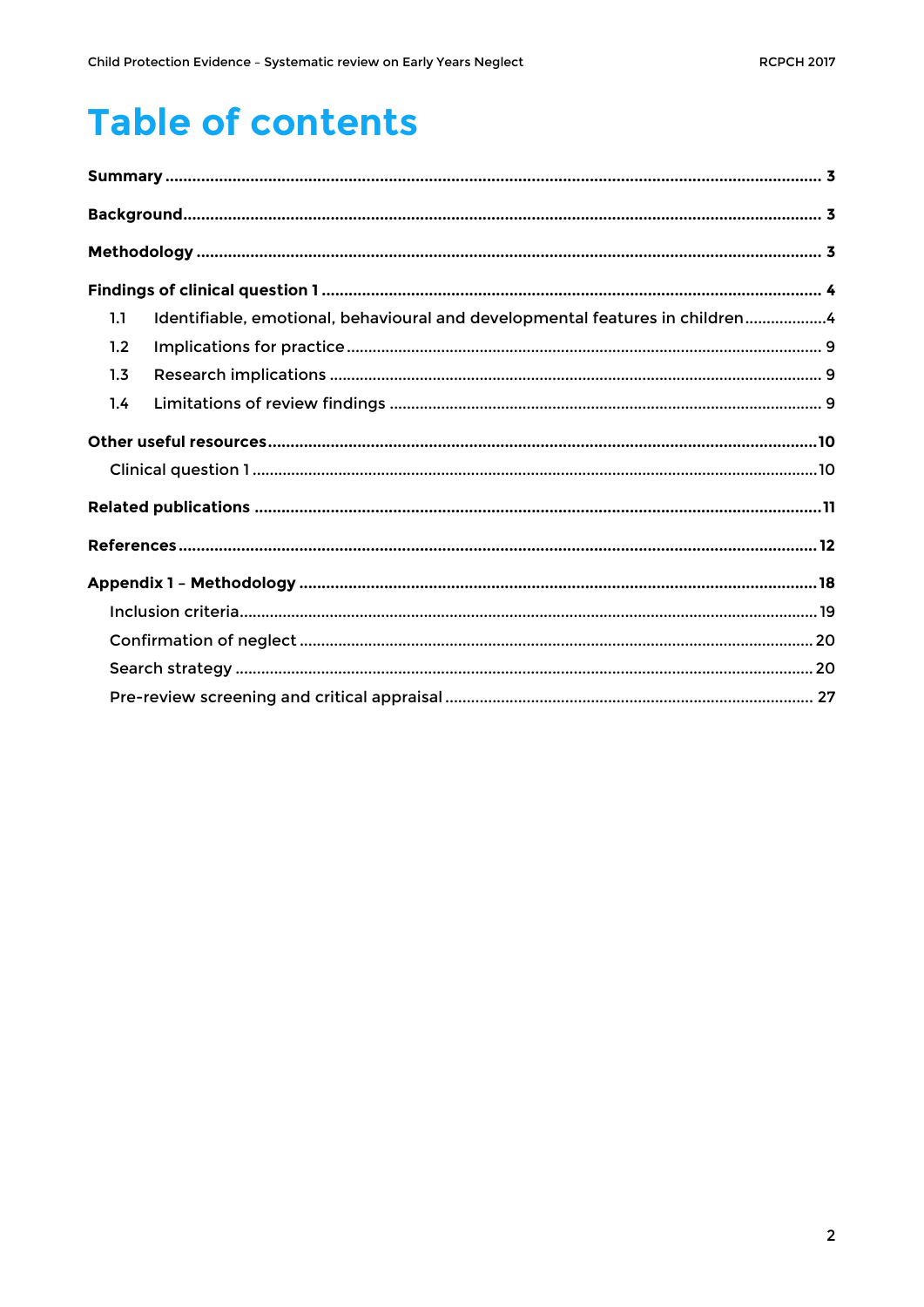# **Table of contents**

| 1.1 | Identifiable, emotional, behavioural and developmental features in children4 |  |
|-----|------------------------------------------------------------------------------|--|
| 1.2 |                                                                              |  |
| 1.3 |                                                                              |  |
| 1.4 |                                                                              |  |
|     |                                                                              |  |
|     |                                                                              |  |
|     |                                                                              |  |
|     |                                                                              |  |
|     |                                                                              |  |
|     |                                                                              |  |
|     |                                                                              |  |
|     |                                                                              |  |
|     |                                                                              |  |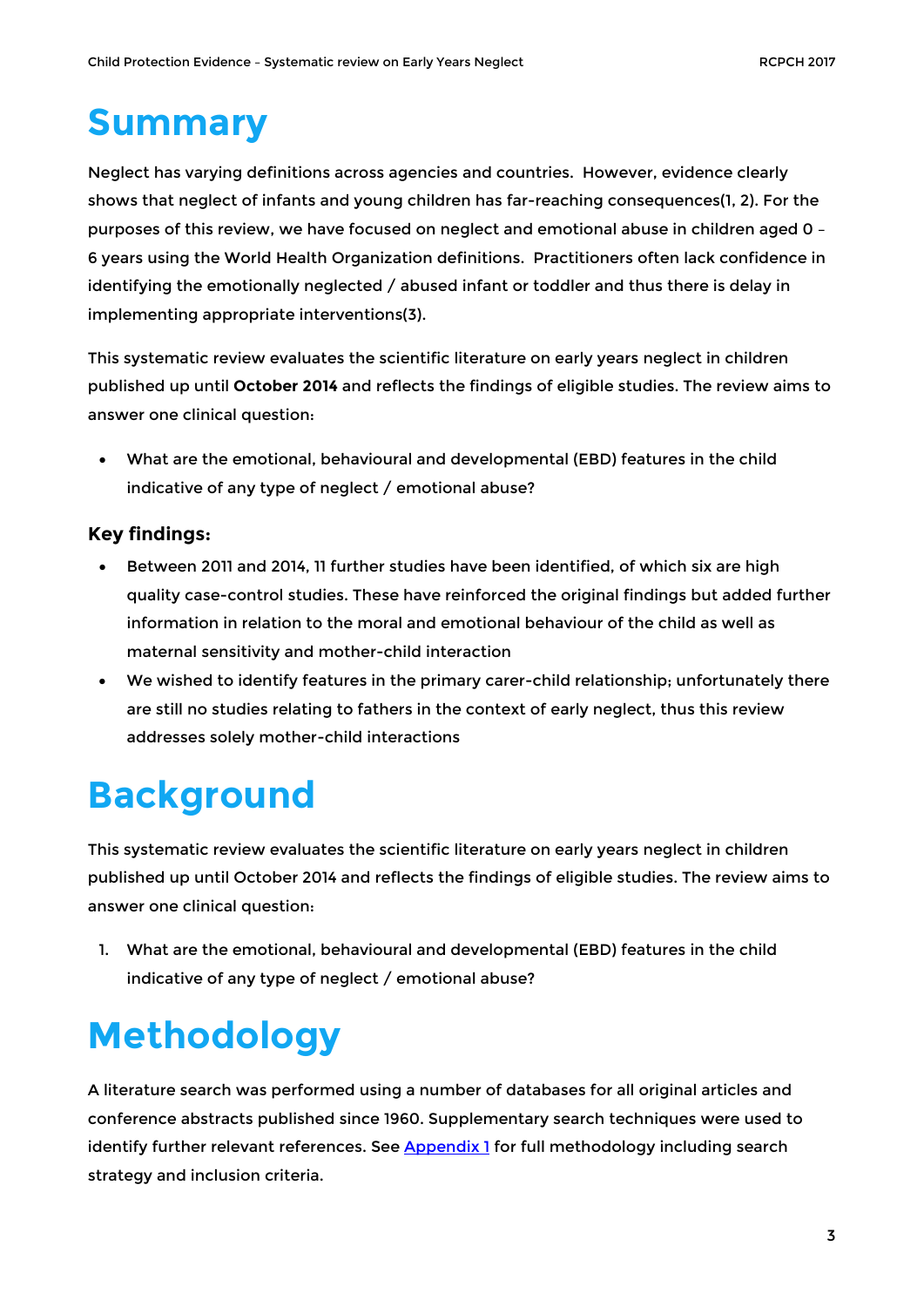# <span id="page-2-0"></span>**Summary**

Neglect has varying definitions across agencies and countries. However, evidence clearly shows that neglect of infants and young children has far-reaching consequences(1, 2). For the purposes of this review, we have focused on neglect and emotional abuse in children aged 0 – 6 years using the World Health Organization definitions. Practitioners often lack confidence in identifying the emotionally neglected / abused infant or toddler and thus there is delay in implementing appropriate interventions(3).

This systematic review evaluates the scientific literature on early years neglect in children published up until **October 2014** and reflects the findings of eligible studies. The review aims to answer one clinical question:

• What are the emotional, behavioural and developmental (EBD) features in the child indicative of any type of neglect / emotional abuse?

#### **Key findings:**

- Between 2011 and 2014, 11 further studies have been identified, of which six are high quality case-control studies. These have reinforced the original findings but added further information in relation to the moral and emotional behaviour of the child as well as maternal sensitivity and mother-child interaction
- We wished to identify features in the primary carer-child relationship; unfortunately there are still no studies relating to fathers in the context of early neglect, thus this review addresses solely mother-child interactions

# <span id="page-2-1"></span>**Background**

This systematic review evaluates the scientific literature on early years neglect in children published up until October 2014 and reflects the findings of eligible studies. The review aims to answer one clinical question:

1. What are the emotional, behavioural and developmental (EBD) features in the child indicative of any type of neglect / emotional abuse?

# <span id="page-2-2"></span>**Methodology**

A literature search was performed using a number of databases for all original articles and conference abstracts published since 1960. Supplementary search techniques were used to identify further relevant references. See **Appendix 1** for full methodology including search strategy and inclusion criteria.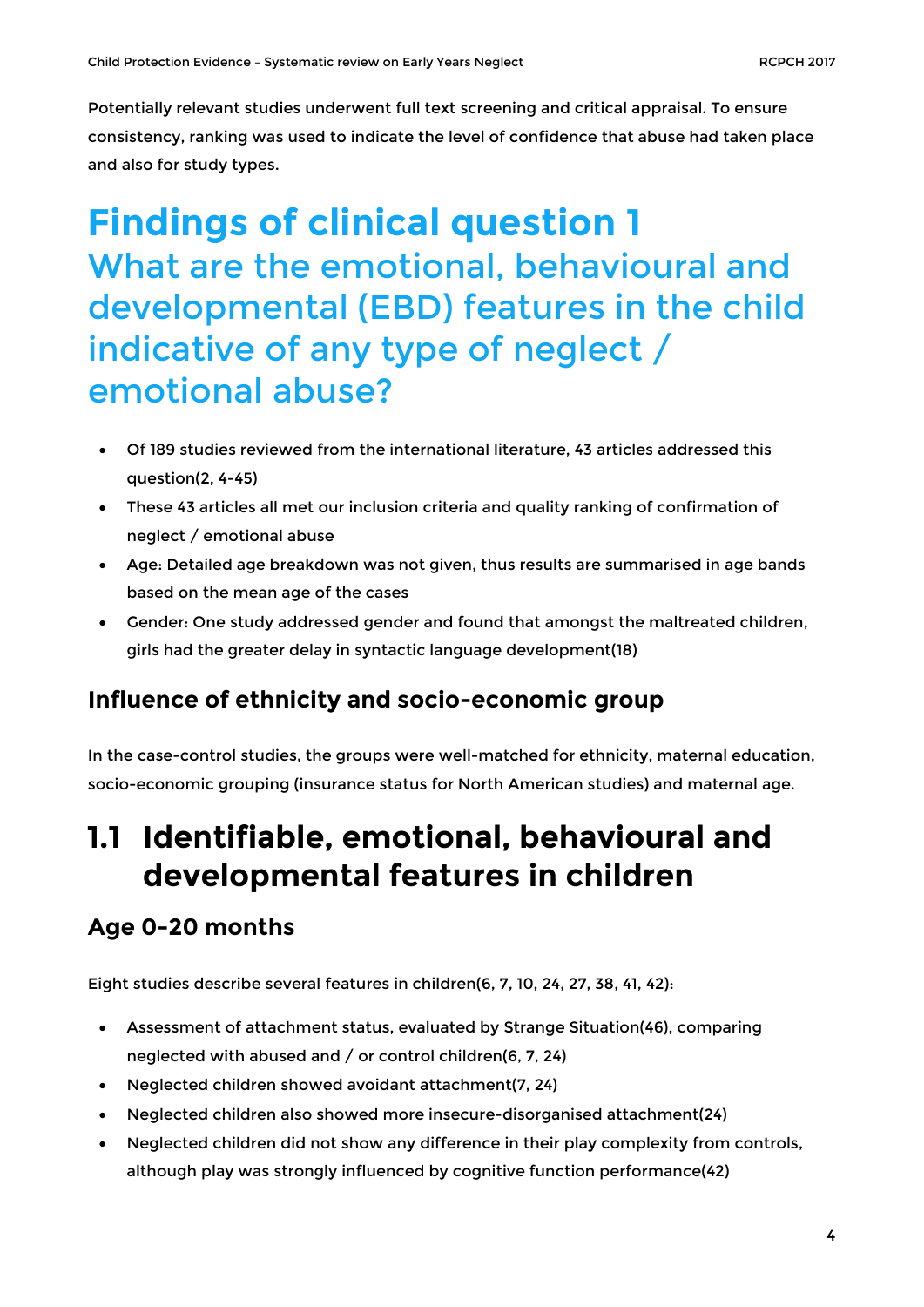Potentially relevant studies underwent full text screening and critical appraisal. To ensure consistency, ranking was used to indicate the level of confidence that abuse had taken place and also for study types.

# <span id="page-3-0"></span>**Findings of clinical question 1** What are the emotional, behavioural and developmental (EBD) features in the child indicative of any type of neglect / emotional abuse?

- Of 189 studies reviewed from the international literature, 43 articles addressed this question(2, 4-45)
- These 43 articles all met our inclusion criteria and quality ranking of confirmation of neglect / emotional abuse
- Age: Detailed age breakdown was not given, thus results are summarised in age bands based on the mean age of the cases
- Gender: One study addressed gender and found that amongst the maltreated children, girls had the greater delay in syntactic language development(18)

#### **Influence of ethnicity and socio-economic group**

In the case-control studies, the groups were well-matched for ethnicity, maternal education, socio-economic grouping (insurance status for North American studies) and maternal age.

### <span id="page-3-1"></span>**1.1 Identifiable, emotional, behavioural and developmental features in children**

### **Age 0-20 months**

Eight studies describe several features in children(6, 7, 10, 24, 27, 38, 41, 42):

- Assessment of attachment status, evaluated by Strange Situation(46), comparing neglected with abused and / or control children(6, 7, 24)
- Neglected children showed avoidant attachment(7, 24)
- Neglected children also showed more insecure-disorganised attachment(24)
- Neglected children did not show any difference in their play complexity from controls, although play was strongly influenced by cognitive function performance(42)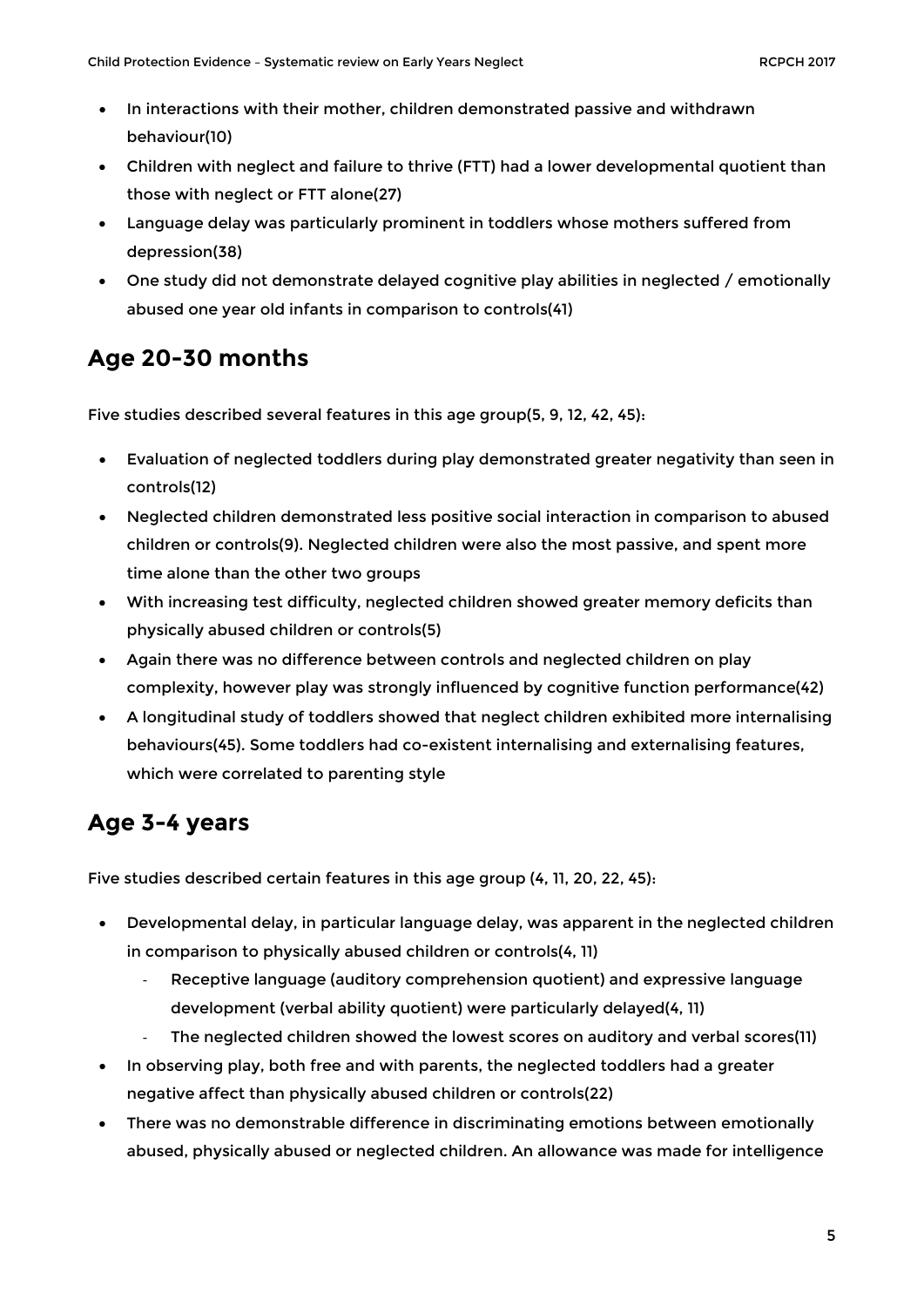- In interactions with their mother, children demonstrated passive and withdrawn behaviour(10)
- Children with neglect and failure to thrive (FTT) had a lower developmental quotient than those with neglect or FTT alone(27)
- Language delay was particularly prominent in toddlers whose mothers suffered from depression(38)
- One study did not demonstrate delayed cognitive play abilities in neglected / emotionally abused one year old infants in comparison to controls(41)

### **Age 20-30 months**

Five studies described several features in this age group(5, 9, 12, 42, 45):

- Evaluation of neglected toddlers during play demonstrated greater negativity than seen in controls(12)
- Neglected children demonstrated less positive social interaction in comparison to abused children or controls(9). Neglected children were also the most passive, and spent more time alone than the other two groups
- With increasing test difficulty, neglected children showed greater memory deficits than physically abused children or controls(5)
- Again there was no difference between controls and neglected children on play complexity, however play was strongly influenced by cognitive function performance(42)
- A longitudinal study of toddlers showed that neglect children exhibited more internalising behaviours(45). Some toddlers had co-existent internalising and externalising features, which were correlated to parenting style

#### **Age 3-4 years**

Five studies described certain features in this age group (4, 11, 20, 22, 45):

- Developmental delay, in particular language delay, was apparent in the neglected children in comparison to physically abused children or controls(4, 11)
	- Receptive language (auditory comprehension quotient) and expressive language development (verbal ability quotient) were particularly delayed(4, 11)
	- The neglected children showed the lowest scores on auditory and verbal scores(11)
- In observing play, both free and with parents, the neglected toddlers had a greater negative affect than physically abused children or controls(22)
- There was no demonstrable difference in discriminating emotions between emotionally abused, physically abused or neglected children. An allowance was made for intelligence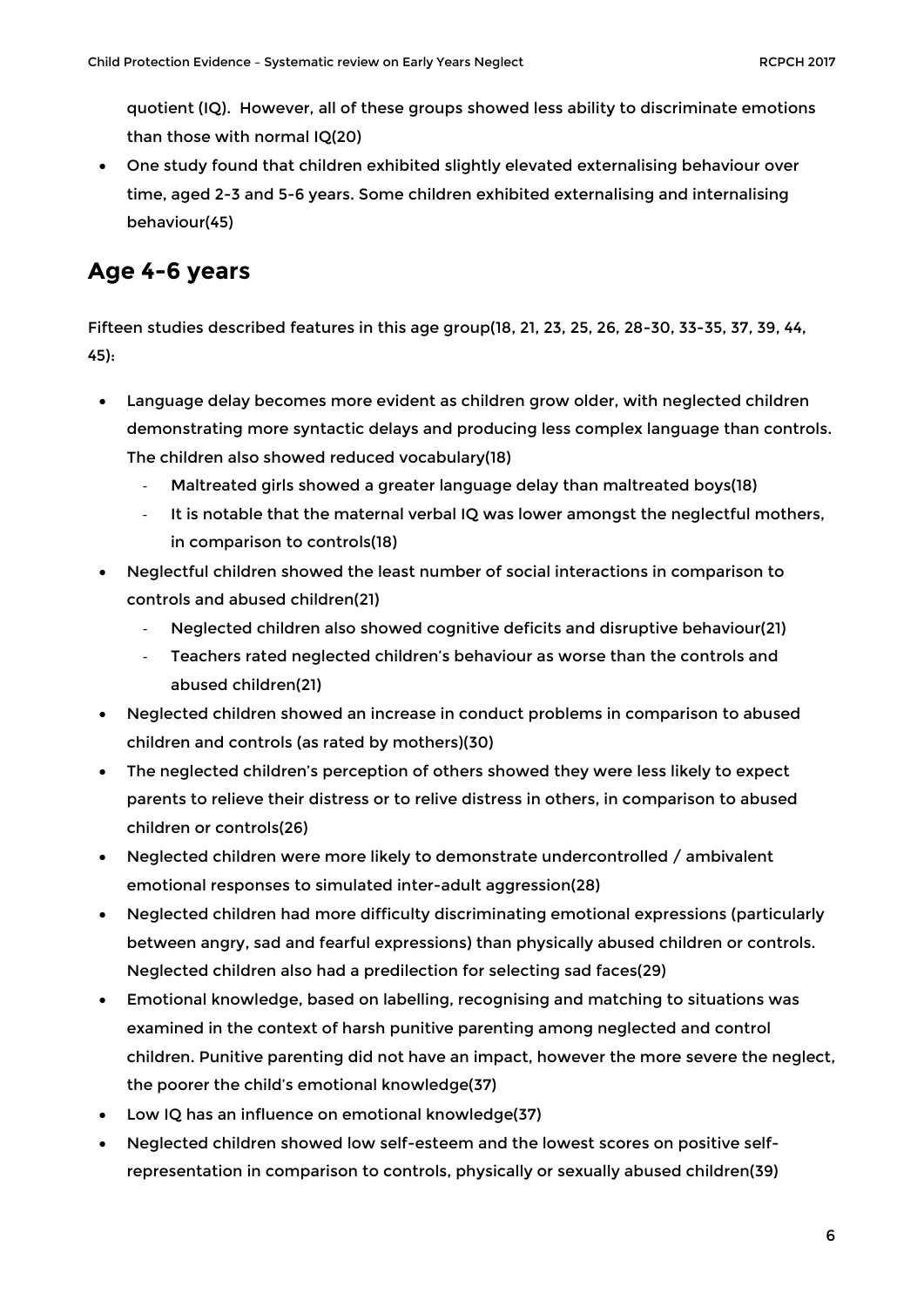quotient (IQ). However, all of these groups showed less ability to discriminate emotions than those with normal IQ(20)

• One study found that children exhibited slightly elevated externalising behaviour over time, aged 2-3 and 5-6 years. Some children exhibited externalising and internalising behaviour(45)

#### **Age 4-6 years**

Fifteen studies described features in this age group(18, 21, 23, 25, 26, 28-30, 33-35, 37, 39, 44, 45):

- Language delay becomes more evident as children grow older, with neglected children demonstrating more syntactic delays and producing less complex language than controls. The children also showed reduced vocabulary(18)
	- Maltreated girls showed a greater language delay than maltreated boys(18)
	- It is notable that the maternal verbal IQ was lower amongst the neglectful mothers, in comparison to controls(18)
- Neglectful children showed the least number of social interactions in comparison to controls and abused children(21)
	- Neglected children also showed cognitive deficits and disruptive behaviour(21)
	- Teachers rated neglected children's behaviour as worse than the controls and abused children(21)
- Neglected children showed an increase in conduct problems in comparison to abused children and controls (as rated by mothers)(30)
- The neglected children's perception of others showed they were less likely to expect parents to relieve their distress or to relive distress in others, in comparison to abused children or controls(26)
- Neglected children were more likely to demonstrate undercontrolled / ambivalent emotional responses to simulated inter-adult aggression(28)
- Neglected children had more difficulty discriminating emotional expressions (particularly between angry, sad and fearful expressions) than physically abused children or controls. Neglected children also had a predilection for selecting sad faces(29)
- Emotional knowledge, based on labelling, recognising and matching to situations was examined in the context of harsh punitive parenting among neglected and control children. Punitive parenting did not have an impact, however the more severe the neglect, the poorer the child's emotional knowledge(37)
- Low IQ has an influence on emotional knowledge(37)
- Neglected children showed low self-esteem and the lowest scores on positive selfrepresentation in comparison to controls, physically or sexually abused children(39)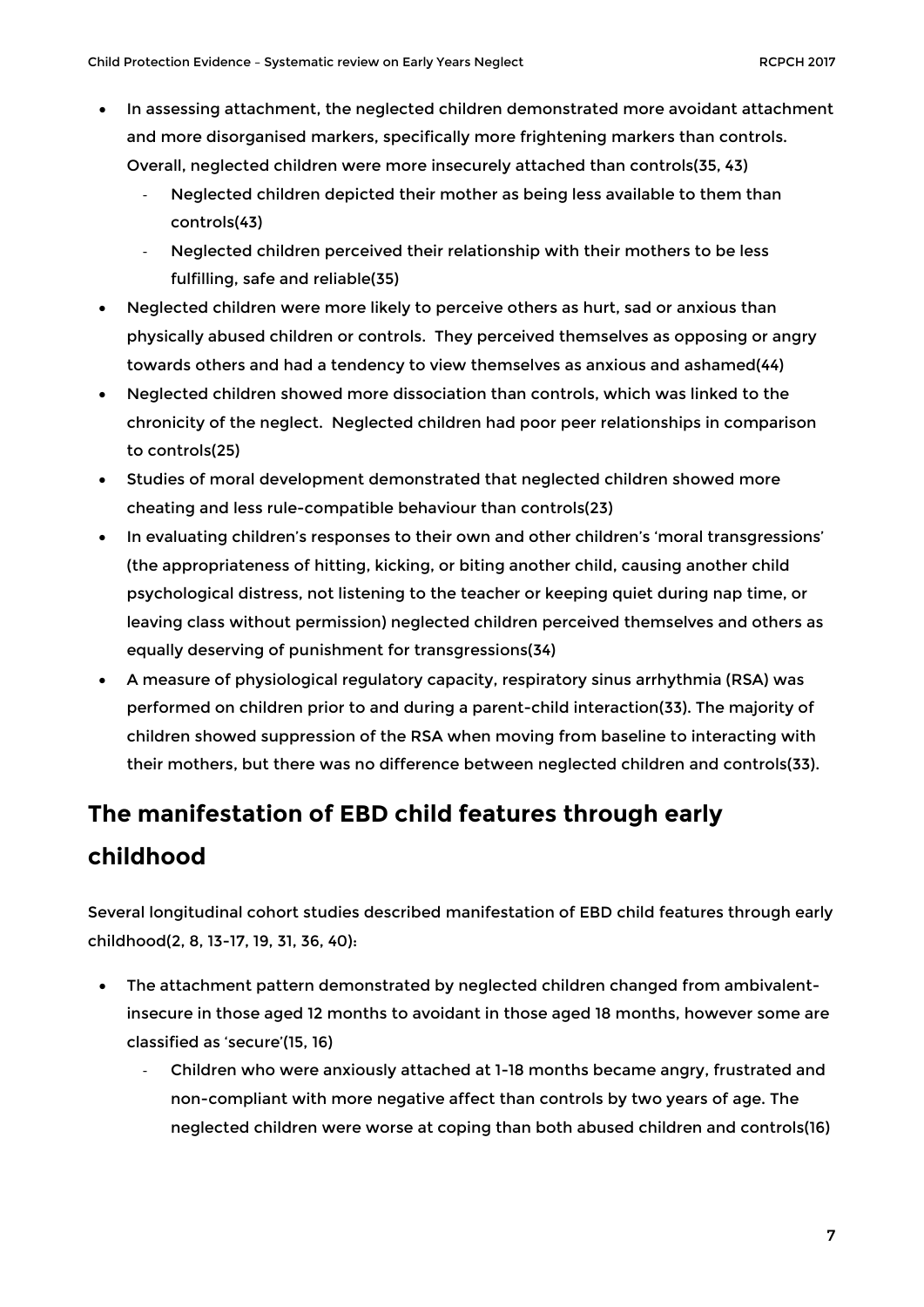- In assessing attachment, the neglected children demonstrated more avoidant attachment and more disorganised markers, specifically more frightening markers than controls. Overall, neglected children were more insecurely attached than controls(35, 43)
	- Neglected children depicted their mother as being less available to them than controls(43)
	- Neglected children perceived their relationship with their mothers to be less fulfilling, safe and reliable(35)
- Neglected children were more likely to perceive others as hurt, sad or anxious than physically abused children or controls. They perceived themselves as opposing or angry towards others and had a tendency to view themselves as anxious and ashamed(44)
- Neglected children showed more dissociation than controls, which was linked to the chronicity of the neglect. Neglected children had poor peer relationships in comparison to controls(25)
- Studies of moral development demonstrated that neglected children showed more cheating and less rule-compatible behaviour than controls(23)
- In evaluating children's responses to their own and other children's 'moral transgressions' (the appropriateness of hitting, kicking, or biting another child, causing another child psychological distress, not listening to the teacher or keeping quiet during nap time, or leaving class without permission) neglected children perceived themselves and others as equally deserving of punishment for transgressions(34)
- A measure of physiological regulatory capacity, respiratory sinus arrhythmia (RSA) was performed on children prior to and during a parent-child interaction(33). The majority of children showed suppression of the RSA when moving from baseline to interacting with their mothers, but there was no difference between neglected children and controls(33).

### **The manifestation of EBD child features through early childhood**

Several longitudinal cohort studies described manifestation of EBD child features through early childhood(2, 8, 13-17, 19, 31, 36, 40):

- The attachment pattern demonstrated by neglected children changed from ambivalentinsecure in those aged 12 months to avoidant in those aged 18 months, however some are classified as 'secure'(15, 16)
	- Children who were anxiously attached at 1-18 months became angry, frustrated and non-compliant with more negative affect than controls by two years of age. The neglected children were worse at coping than both abused children and controls(16)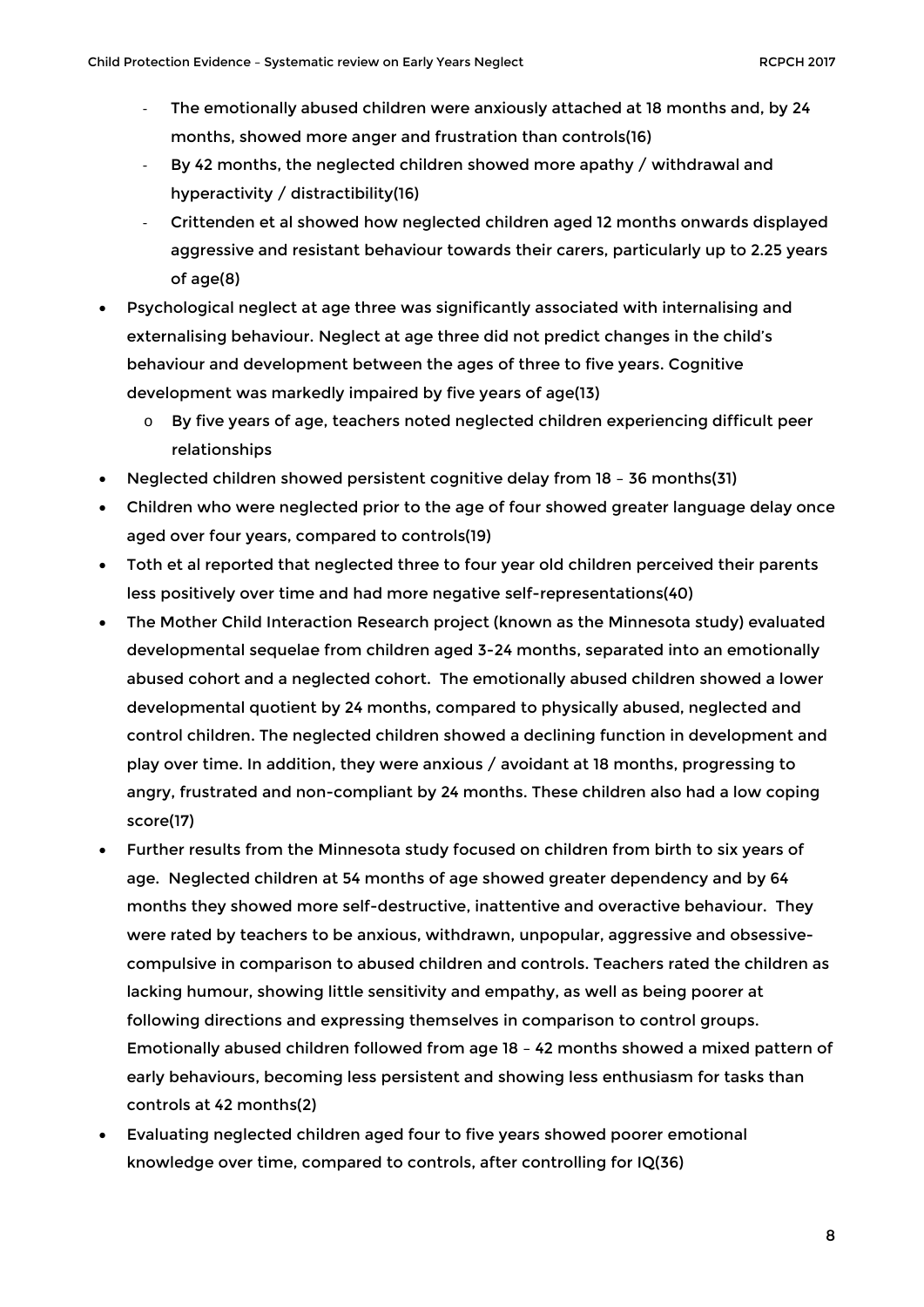- The emotionally abused children were anxiously attached at 18 months and, by 24 months, showed more anger and frustration than controls(16)
- By 42 months, the neglected children showed more apathy / withdrawal and hyperactivity / distractibility(16)
- Crittenden et al showed how neglected children aged 12 months onwards displayed aggressive and resistant behaviour towards their carers, particularly up to 2.25 years of age(8)
- Psychological neglect at age three was significantly associated with internalising and externalising behaviour. Neglect at age three did not predict changes in the child's behaviour and development between the ages of three to five years. Cognitive development was markedly impaired by five years of age(13)
	- $\circ$  By five years of age, teachers noted neglected children experiencing difficult peer relationships
- Neglected children showed persistent cognitive delay from 18 36 months(31)
- Children who were neglected prior to the age of four showed greater language delay once aged over four years, compared to controls(19)
- Toth et al reported that neglected three to four year old children perceived their parents less positively over time and had more negative self-representations(40)
- The Mother Child Interaction Research project (known as the Minnesota study) evaluated developmental sequelae from children aged 3-24 months, separated into an emotionally abused cohort and a neglected cohort. The emotionally abused children showed a lower developmental quotient by 24 months, compared to physically abused, neglected and control children. The neglected children showed a declining function in development and play over time. In addition, they were anxious / avoidant at 18 months, progressing to angry, frustrated and non-compliant by 24 months. These children also had a low coping score(17)
- Further results from the Minnesota study focused on children from birth to six years of age. Neglected children at 54 months of age showed greater dependency and by 64 months they showed more self-destructive, inattentive and overactive behaviour. They were rated by teachers to be anxious, withdrawn, unpopular, aggressive and obsessivecompulsive in comparison to abused children and controls. Teachers rated the children as lacking humour, showing little sensitivity and empathy, as well as being poorer at following directions and expressing themselves in comparison to control groups. Emotionally abused children followed from age 18 – 42 months showed a mixed pattern of early behaviours, becoming less persistent and showing less enthusiasm for tasks than controls at 42 months(2)
- Evaluating neglected children aged four to five years showed poorer emotional knowledge over time, compared to controls, after controlling for IQ(36)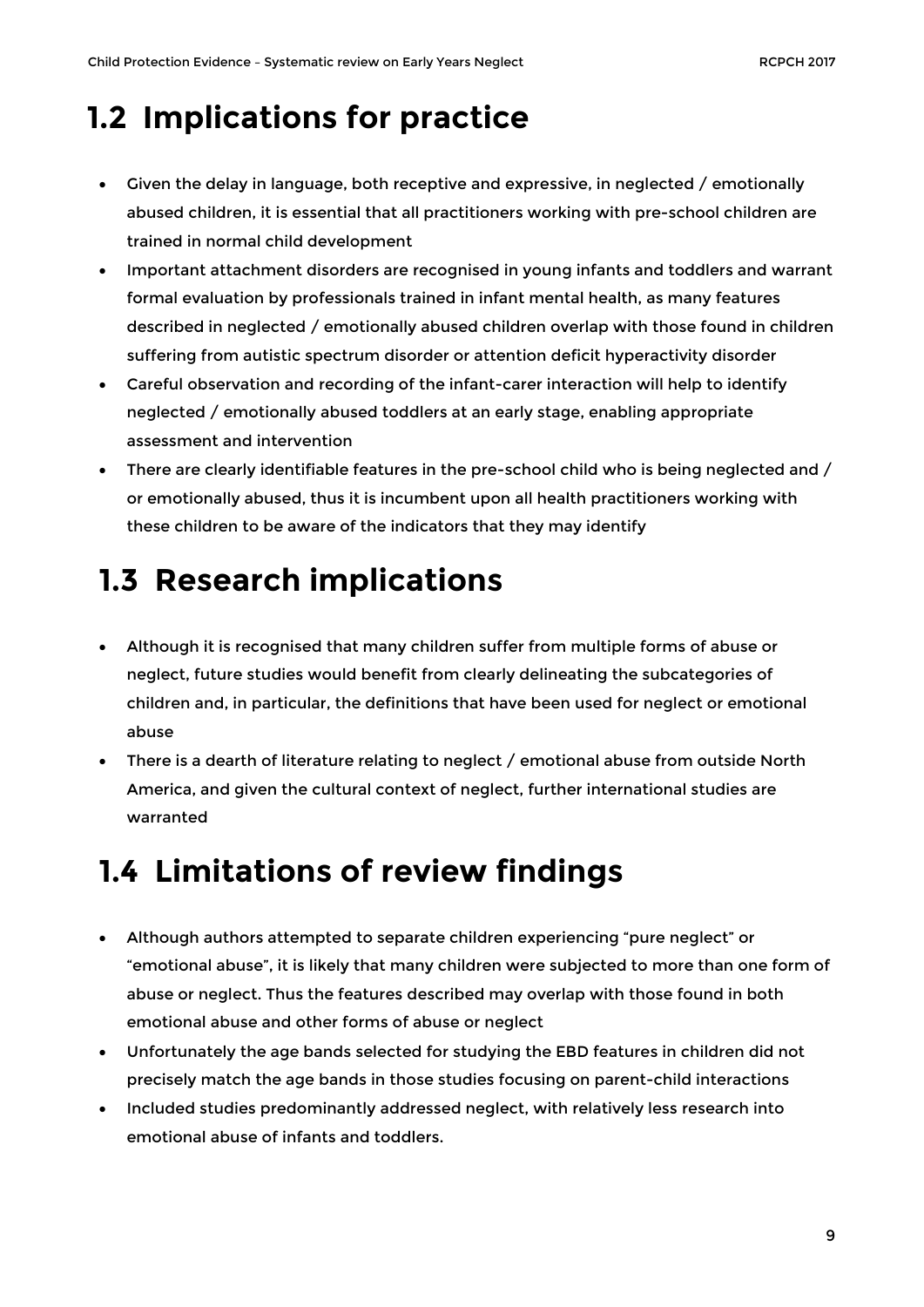### <span id="page-8-0"></span>**1.2 Implications for practice**

- Given the delay in language, both receptive and expressive, in neglected / emotionally abused children, it is essential that all practitioners working with pre-school children are trained in normal child development
- Important attachment disorders are recognised in young infants and toddlers and warrant formal evaluation by professionals trained in infant mental health, as many features described in neglected / emotionally abused children overlap with those found in children suffering from autistic spectrum disorder or attention deficit hyperactivity disorder
- Careful observation and recording of the infant-carer interaction will help to identify neglected / emotionally abused toddlers at an early stage, enabling appropriate assessment and intervention
- There are clearly identifiable features in the pre-school child who is being neglected and / or emotionally abused, thus it is incumbent upon all health practitioners working with these children to be aware of the indicators that they may identify

# <span id="page-8-1"></span>**1.3 Research implications**

- Although it is recognised that many children suffer from multiple forms of abuse or neglect, future studies would benefit from clearly delineating the subcategories of children and, in particular, the definitions that have been used for neglect or emotional abuse
- There is a dearth of literature relating to neglect / emotional abuse from outside North America, and given the cultural context of neglect, further international studies are warranted

### <span id="page-8-2"></span>**1.4 Limitations of review findings**

- Although authors attempted to separate children experiencing "pure neglect" or "emotional abuse", it is likely that many children were subjected to more than one form of abuse or neglect. Thus the features described may overlap with those found in both emotional abuse and other forms of abuse or neglect
- Unfortunately the age bands selected for studying the EBD features in children did not precisely match the age bands in those studies focusing on parent-child interactions
- Included studies predominantly addressed neglect, with relatively less research into emotional abuse of infants and toddlers.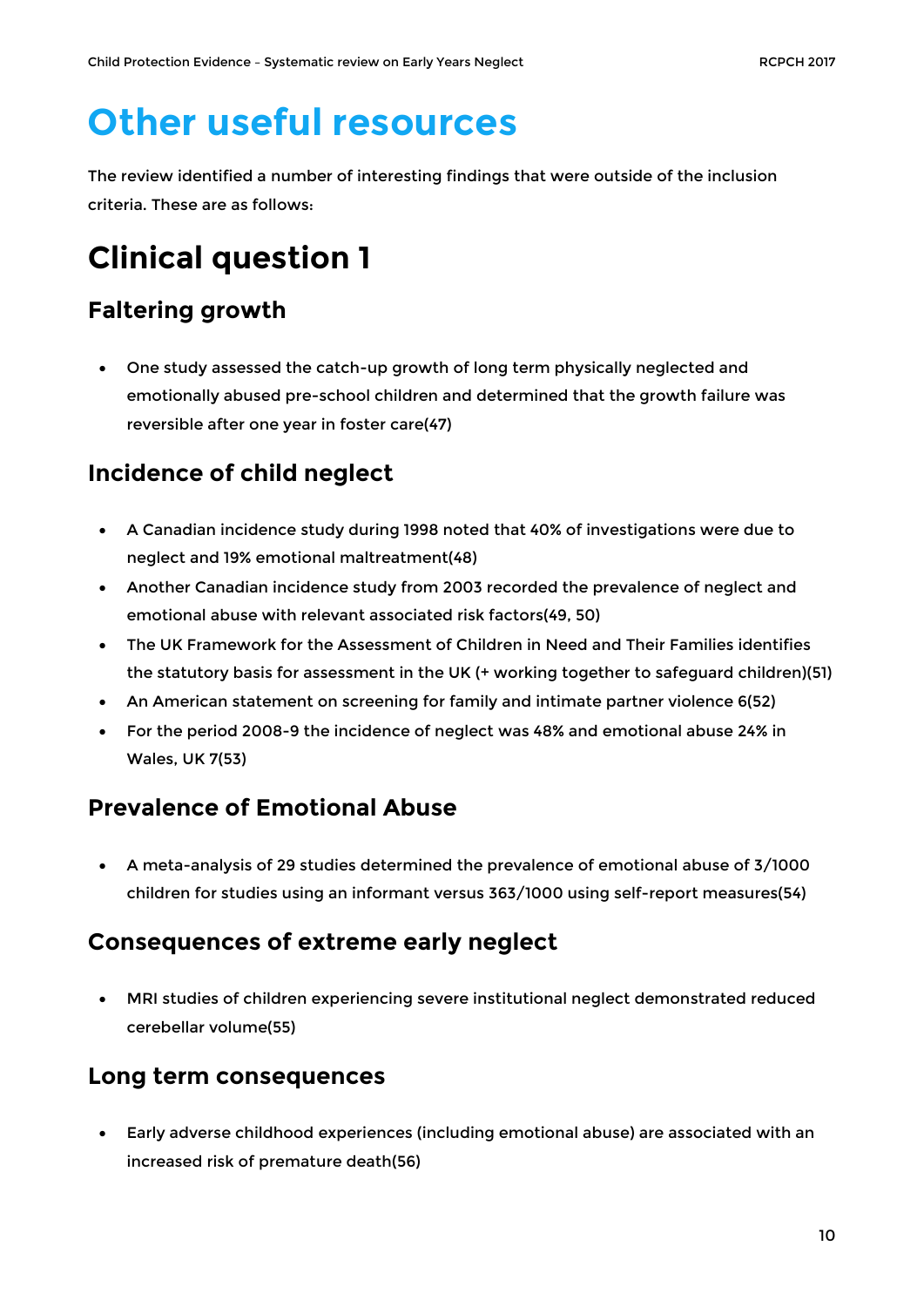# <span id="page-9-0"></span>**Other useful resources**

The review identified a number of interesting findings that were outside of the inclusion criteria. These are as follows:

# <span id="page-9-1"></span>**Clinical question 1**

### **Faltering growth**

• One study assessed the catch-up growth of long term physically neglected and emotionally abused pre-school children and determined that the growth failure was reversible after one year in foster care(47)

### **Incidence of child neglect**

- A Canadian incidence study during 1998 noted that 40% of investigations were due to neglect and 19% emotional maltreatment(48)
- Another Canadian incidence study from 2003 recorded the prevalence of neglect and emotional abuse with relevant associated risk factors(49, 50)
- The UK Framework for the Assessment of Children in Need and Their Families identifies the statutory basis for assessment in the UK (+ working together to safeguard children)(51)
- An American statement on screening for family and intimate partner violence 6(52)
- For the period 2008-9 the incidence of neglect was 48% and emotional abuse 24% in Wales, UK 7(53)

### **Prevalence of Emotional Abuse**

• A meta-analysis of 29 studies determined the prevalence of emotional abuse of 3/1000 children for studies using an informant versus 363/1000 using self-report measures(54)

#### **Consequences of extreme early neglect**

• MRI studies of children experiencing severe institutional neglect demonstrated reduced cerebellar volume(55)

#### **Long term consequences**

• Early adverse childhood experiences (including emotional abuse) are associated with an increased risk of premature death(56)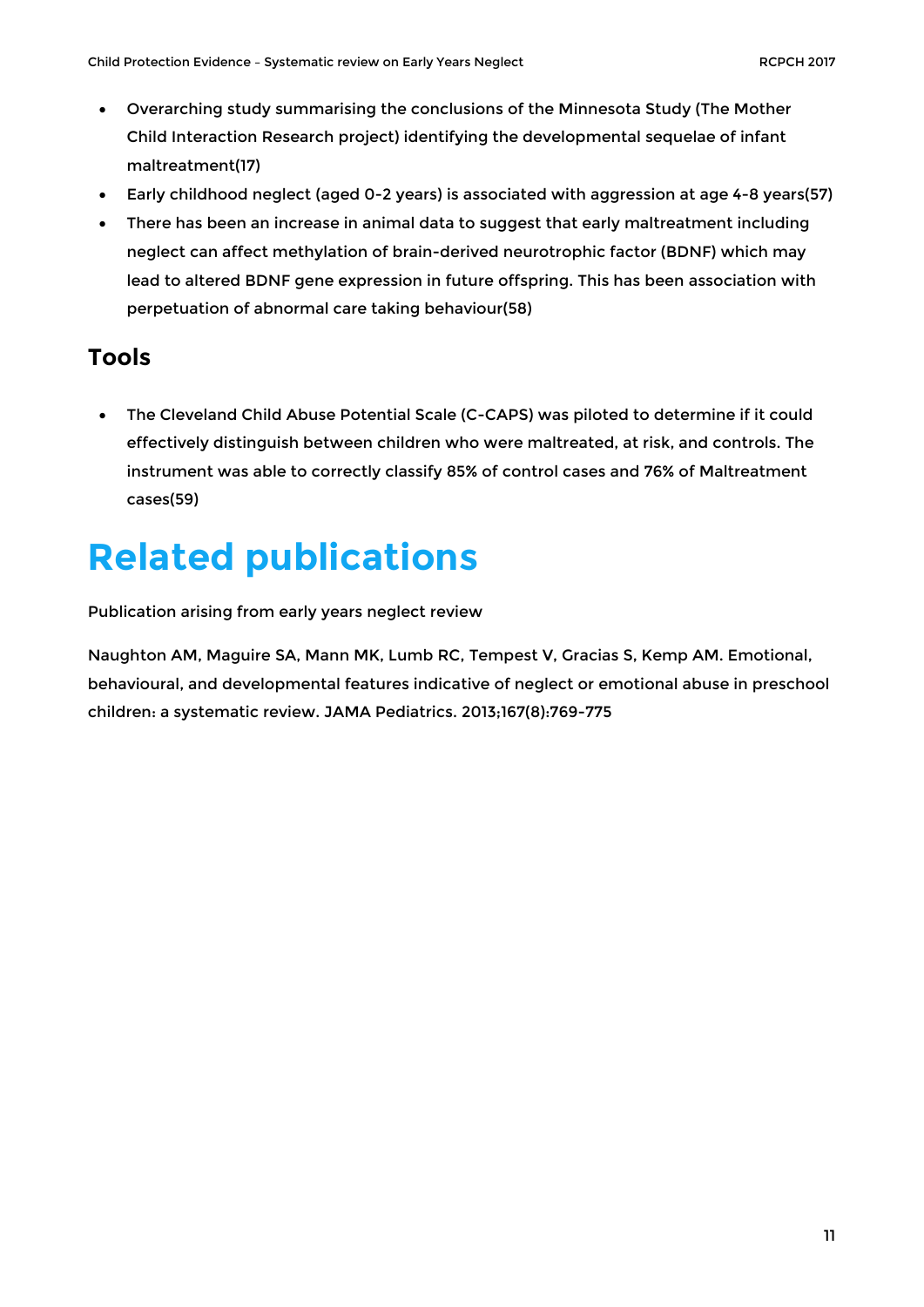- Overarching study summarising the conclusions of the Minnesota Study (The Mother Child Interaction Research project) identifying the developmental sequelae of infant maltreatment(17)
- Early childhood neglect (aged 0-2 years) is associated with aggression at age 4-8 years(57)
- There has been an increase in animal data to suggest that early maltreatment including neglect can affect methylation of brain-derived neurotrophic factor (BDNF) which may lead to altered BDNF gene expression in future offspring. This has been association with perpetuation of abnormal care taking behaviour(58)

#### **Tools**

• The Cleveland Child Abuse Potential Scale (C-CAPS) was piloted to determine if it could effectively distinguish between children who were maltreated, at risk, and controls. The instrument was able to correctly classify 85% of control cases and 76% of Maltreatment cases(59)

# <span id="page-10-0"></span>**Related publications**

Publication arising from early years neglect review

Naughton AM, Maguire SA, Mann MK, Lumb RC, Tempest V, Gracias S, Kemp AM. Emotional, behavioural, and developmental features indicative of neglect or emotional abuse in preschool children: a systematic review. JAMA Pediatrics. 2013;167(8):769-775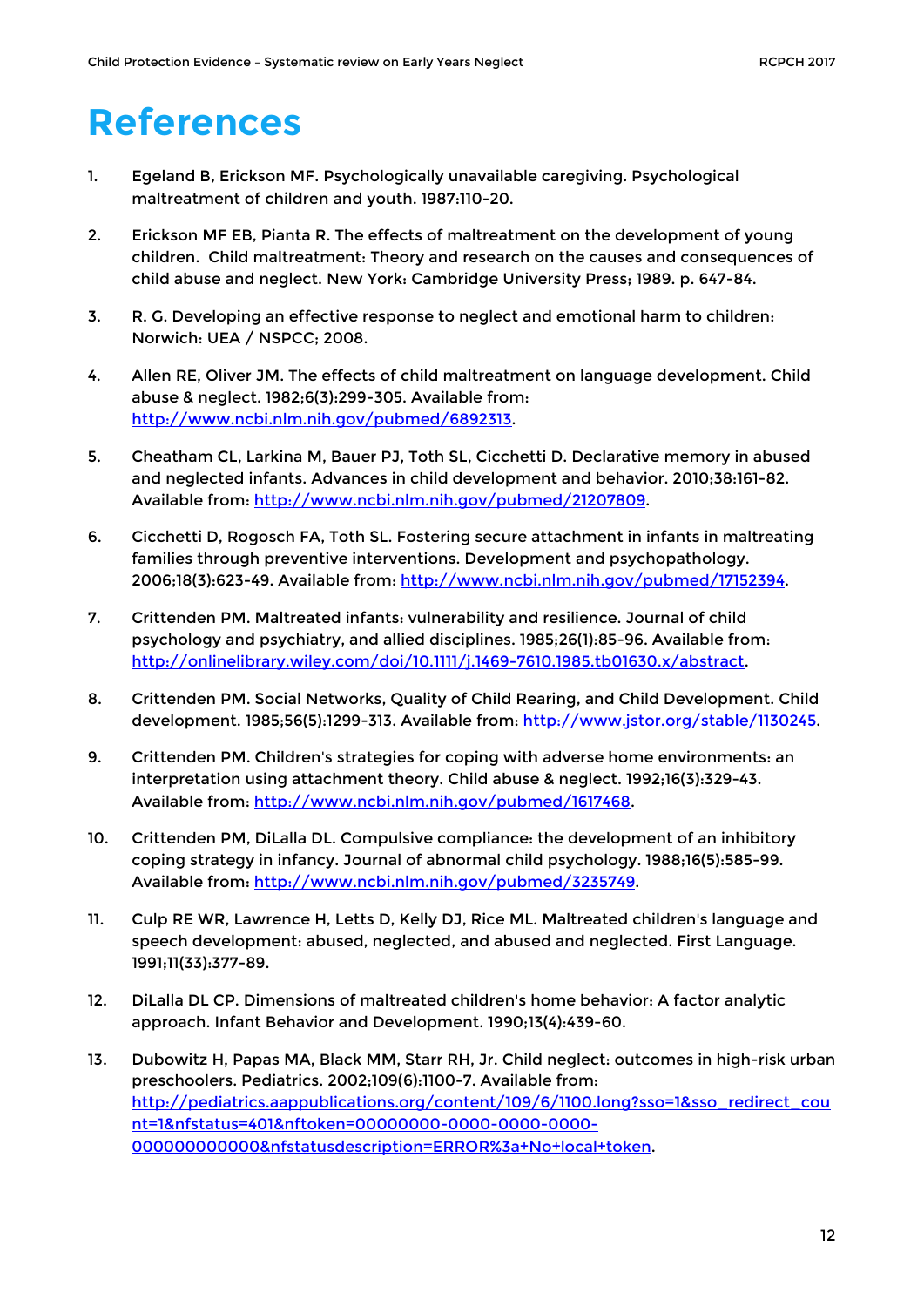# <span id="page-11-0"></span>**References**

- 1. Egeland B, Erickson MF. Psychologically unavailable caregiving. Psychological maltreatment of children and youth. 1987:110-20.
- 2. Erickson MF EB, Pianta R. The effects of maltreatment on the development of young children. Child maltreatment: Theory and research on the causes and consequences of child abuse and neglect. New York: Cambridge University Press; 1989. p. 647-84.
- 3. R. G. Developing an effective response to neglect and emotional harm to children: Norwich: UEA / NSPCC; 2008.
- 4. Allen RE, Oliver JM. The effects of child maltreatment on language development. Child abuse & neglect. 1982;6(3):299-305. Available from: [http://www.ncbi.nlm.nih.gov/pubmed/6892313.](http://www.ncbi.nlm.nih.gov/pubmed/6892313)
- 5. Cheatham CL, Larkina M, Bauer PJ, Toth SL, Cicchetti D. Declarative memory in abused and neglected infants. Advances in child development and behavior. 2010;38:161-82. Available from: [http://www.ncbi.nlm.nih.gov/pubmed/21207809.](http://www.ncbi.nlm.nih.gov/pubmed/21207809)
- 6. Cicchetti D, Rogosch FA, Toth SL. Fostering secure attachment in infants in maltreating families through preventive interventions. Development and psychopathology. 2006;18(3):623-49. Available from: [http://www.ncbi.nlm.nih.gov/pubmed/17152394.](http://www.ncbi.nlm.nih.gov/pubmed/17152394)
- 7. Crittenden PM. Maltreated infants: vulnerability and resilience. Journal of child psychology and psychiatry, and allied disciplines. 1985;26(1):85-96. Available from: [http://onlinelibrary.wiley.com/doi/10.1111/j.1469-7610.1985.tb01630.x/abstract.](http://onlinelibrary.wiley.com/doi/10.1111/j.1469-7610.1985.tb01630.x/abstract)
- 8. Crittenden PM. Social Networks, Quality of Child Rearing, and Child Development. Child development. 1985;56(5):1299-313. Available from: [http://www.jstor.org/stable/1130245.](http://www.jstor.org/stable/1130245)
- 9. Crittenden PM. Children's strategies for coping with adverse home environments: an interpretation using attachment theory. Child abuse & neglect. 1992;16(3):329-43. Available from: [http://www.ncbi.nlm.nih.gov/pubmed/1617468.](http://www.ncbi.nlm.nih.gov/pubmed/1617468)
- 10. Crittenden PM, DiLalla DL. Compulsive compliance: the development of an inhibitory coping strategy in infancy. Journal of abnormal child psychology. 1988;16(5):585-99. Available from: [http://www.ncbi.nlm.nih.gov/pubmed/3235749.](http://www.ncbi.nlm.nih.gov/pubmed/3235749)
- 11. Culp RE WR, Lawrence H, Letts D, Kelly DJ, Rice ML. Maltreated children's language and speech development: abused, neglected, and abused and neglected. First Language. 1991;11(33):377-89.
- 12. DiLalla DL CP. Dimensions of maltreated children's home behavior: A factor analytic approach. Infant Behavior and Development. 1990;13(4):439-60.
- 13. Dubowitz H, Papas MA, Black MM, Starr RH, Jr. Child neglect: outcomes in high-risk urban preschoolers. Pediatrics. 2002;109(6):1100-7. Available from: [http://pediatrics.aappublications.org/content/109/6/1100.long?sso=1&sso\\_redirect\\_cou](http://pediatrics.aappublications.org/content/109/6/1100.long?sso=1&sso_redirect_count=1&nfstatus=401&nftoken=00000000-0000-0000-0000-000000000000&nfstatusdescription=ERROR%3a+No+local+token) [nt=1&nfstatus=401&nftoken=00000000-0000-0000-0000-](http://pediatrics.aappublications.org/content/109/6/1100.long?sso=1&sso_redirect_count=1&nfstatus=401&nftoken=00000000-0000-0000-0000-000000000000&nfstatusdescription=ERROR%3a+No+local+token) [000000000000&nfstatusdescription=ERROR%3a+No+local+token.](http://pediatrics.aappublications.org/content/109/6/1100.long?sso=1&sso_redirect_count=1&nfstatus=401&nftoken=00000000-0000-0000-0000-000000000000&nfstatusdescription=ERROR%3a+No+local+token)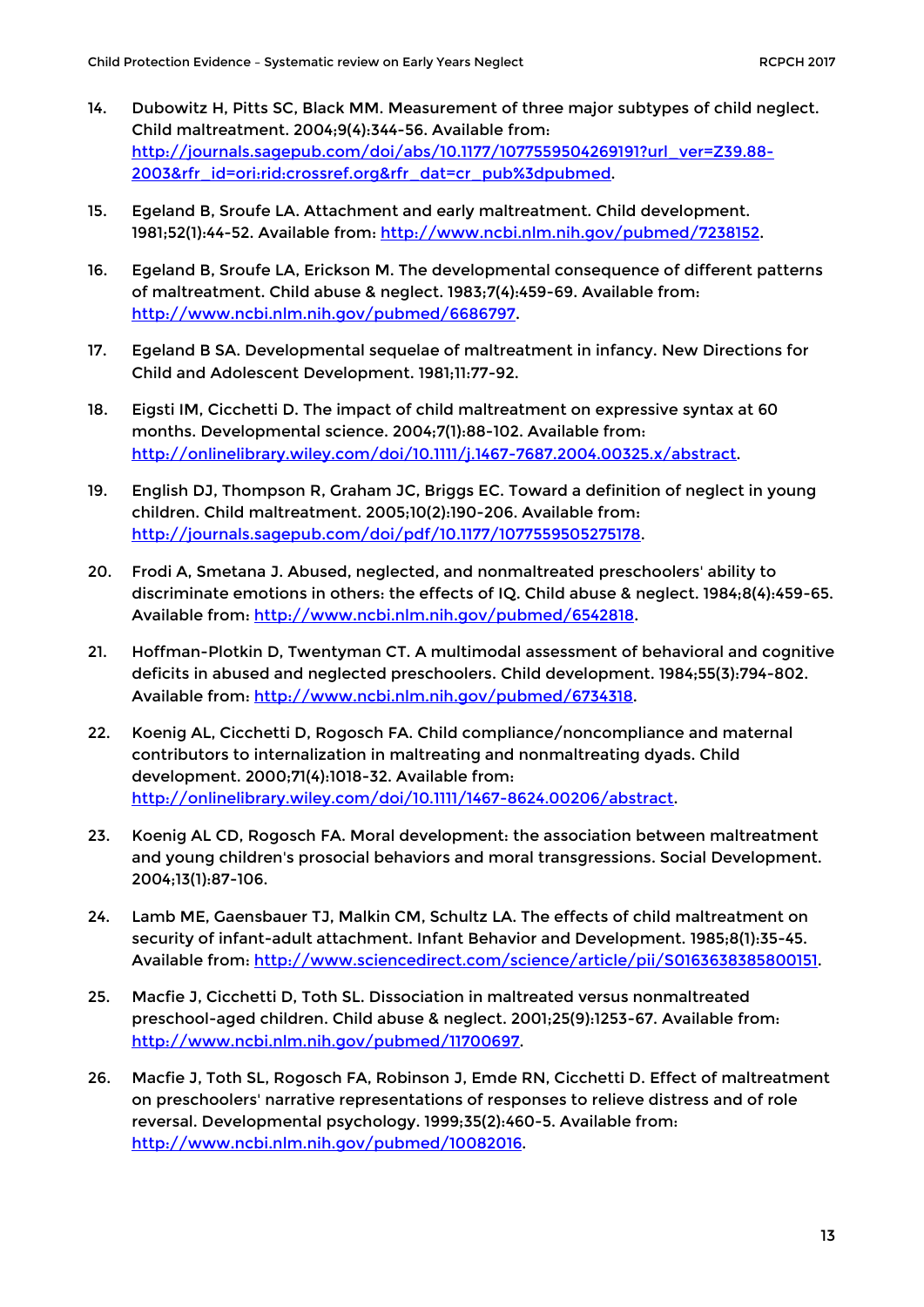- 14. Dubowitz H, Pitts SC, Black MM. Measurement of three major subtypes of child neglect. Child maltreatment. 2004;9(4):344-56. Available from: [http://journals.sagepub.com/doi/abs/10.1177/1077559504269191?url\\_ver=Z39.88-](http://journals.sagepub.com/doi/abs/10.1177/1077559504269191?url_ver=Z39.88-2003&rfr_id=ori:rid:crossref.org&rfr_dat=cr_pub%3dpubmed) [2003&rfr\\_id=ori:rid:crossref.org&rfr\\_dat=cr\\_pub%3dpubmed.](http://journals.sagepub.com/doi/abs/10.1177/1077559504269191?url_ver=Z39.88-2003&rfr_id=ori:rid:crossref.org&rfr_dat=cr_pub%3dpubmed)
- 15. Egeland B, Sroufe LA. Attachment and early maltreatment. Child development. 1981;52(1):44-52. Available from: [http://www.ncbi.nlm.nih.gov/pubmed/7238152.](http://www.ncbi.nlm.nih.gov/pubmed/7238152)
- 16. Egeland B, Sroufe LA, Erickson M. The developmental consequence of different patterns of maltreatment. Child abuse & neglect. 1983;7(4):459-69. Available from: [http://www.ncbi.nlm.nih.gov/pubmed/6686797.](http://www.ncbi.nlm.nih.gov/pubmed/6686797)
- 17. Egeland B SA. Developmental sequelae of maltreatment in infancy. New Directions for Child and Adolescent Development. 1981;11:77-92.
- 18. Eigsti IM, Cicchetti D. The impact of child maltreatment on expressive syntax at 60 months. Developmental science. 2004;7(1):88-102. Available from: [http://onlinelibrary.wiley.com/doi/10.1111/j.1467-7687.2004.00325.x/abstract.](http://onlinelibrary.wiley.com/doi/10.1111/j.1467-7687.2004.00325.x/abstract)
- 19. English DJ, Thompson R, Graham JC, Briggs EC. Toward a definition of neglect in young children. Child maltreatment. 2005;10(2):190-206. Available from: [http://journals.sagepub.com/doi/pdf/10.1177/1077559505275178.](http://journals.sagepub.com/doi/pdf/10.1177/1077559505275178)
- 20. Frodi A, Smetana J. Abused, neglected, and nonmaltreated preschoolers' ability to discriminate emotions in others: the effects of IQ. Child abuse & neglect. 1984;8(4):459-65. Available from: [http://www.ncbi.nlm.nih.gov/pubmed/6542818.](http://www.ncbi.nlm.nih.gov/pubmed/6542818)
- 21. Hoffman-Plotkin D, Twentyman CT. A multimodal assessment of behavioral and cognitive deficits in abused and neglected preschoolers. Child development. 1984;55(3):794-802. Available from: [http://www.ncbi.nlm.nih.gov/pubmed/6734318.](http://www.ncbi.nlm.nih.gov/pubmed/6734318)
- 22. Koenig AL, Cicchetti D, Rogosch FA. Child compliance/noncompliance and maternal contributors to internalization in maltreating and nonmaltreating dyads. Child development. 2000;71(4):1018-32. Available from: [http://onlinelibrary.wiley.com/doi/10.1111/1467-8624.00206/abstract.](http://onlinelibrary.wiley.com/doi/10.1111/1467-8624.00206/abstract)
- 23. Koenig AL CD, Rogosch FA. Moral development: the association between maltreatment and young children's prosocial behaviors and moral transgressions. Social Development. 2004;13(1):87-106.
- 24. Lamb ME, Gaensbauer TJ, Malkin CM, Schultz LA. The effects of child maltreatment on security of infant-adult attachment. Infant Behavior and Development. 1985;8(1):35-45. Available from: [http://www.sciencedirect.com/science/article/pii/S0163638385800151.](http://www.sciencedirect.com/science/article/pii/S0163638385800151)
- 25. Macfie J, Cicchetti D, Toth SL. Dissociation in maltreated versus nonmaltreated preschool-aged children. Child abuse & neglect. 2001;25(9):1253-67. Available from: [http://www.ncbi.nlm.nih.gov/pubmed/11700697.](http://www.ncbi.nlm.nih.gov/pubmed/11700697)
- 26. Macfie J, Toth SL, Rogosch FA, Robinson J, Emde RN, Cicchetti D. Effect of maltreatment on preschoolers' narrative representations of responses to relieve distress and of role reversal. Developmental psychology. 1999;35(2):460-5. Available from: [http://www.ncbi.nlm.nih.gov/pubmed/10082016.](http://www.ncbi.nlm.nih.gov/pubmed/10082016)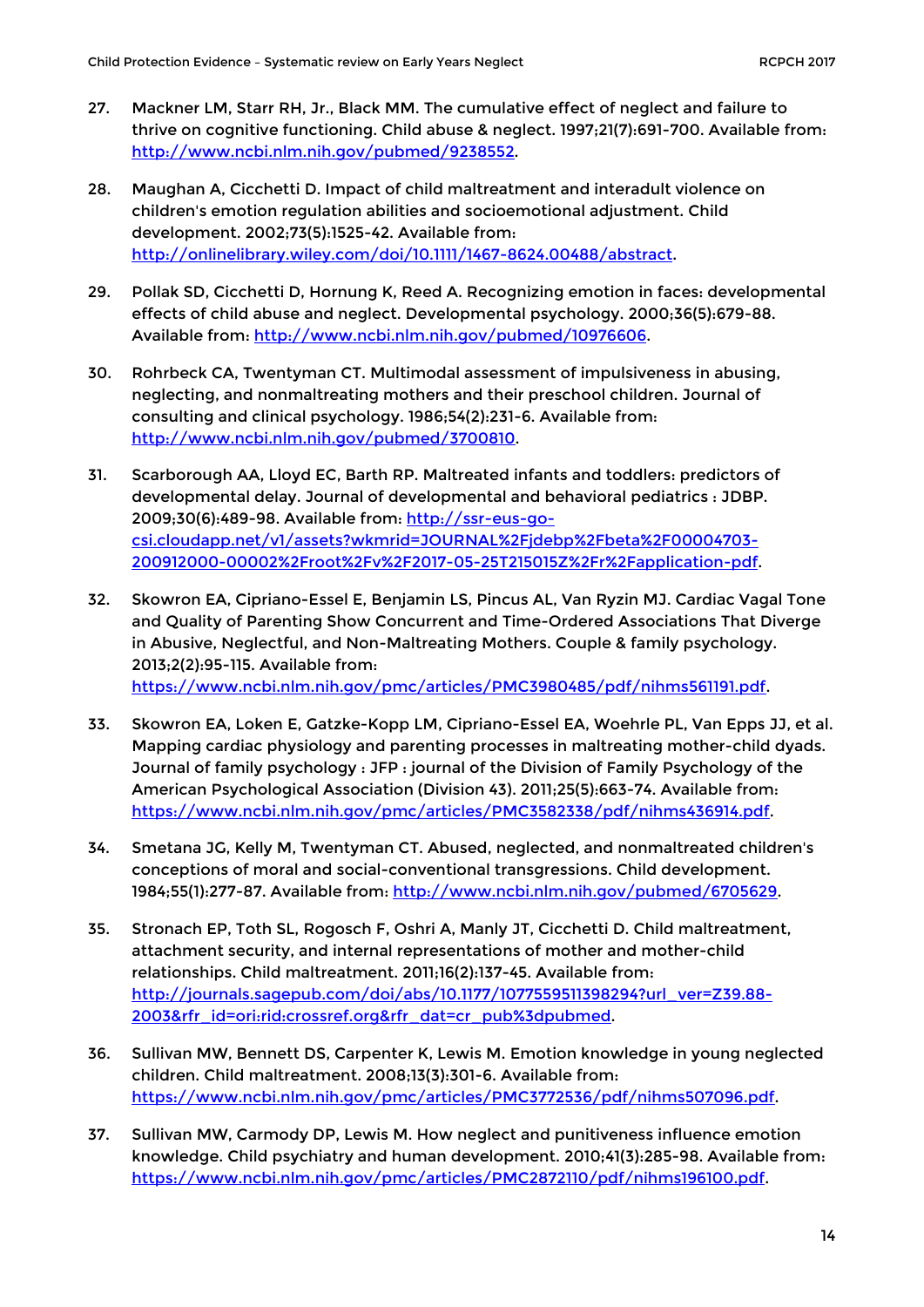- 27. Mackner LM, Starr RH, Jr., Black MM. The cumulative effect of neglect and failure to thrive on cognitive functioning. Child abuse & neglect. 1997;21(7):691-700. Available from: [http://www.ncbi.nlm.nih.gov/pubmed/9238552.](http://www.ncbi.nlm.nih.gov/pubmed/9238552)
- 28. Maughan A, Cicchetti D. Impact of child maltreatment and interadult violence on children's emotion regulation abilities and socioemotional adjustment. Child development. 2002;73(5):1525-42. Available from: [http://onlinelibrary.wiley.com/doi/10.1111/1467-8624.00488/abstract.](http://onlinelibrary.wiley.com/doi/10.1111/1467-8624.00488/abstract)
- 29. Pollak SD, Cicchetti D, Hornung K, Reed A. Recognizing emotion in faces: developmental effects of child abuse and neglect. Developmental psychology. 2000;36(5):679-88. Available from: [http://www.ncbi.nlm.nih.gov/pubmed/10976606.](http://www.ncbi.nlm.nih.gov/pubmed/10976606)
- 30. Rohrbeck CA, Twentyman CT. Multimodal assessment of impulsiveness in abusing, neglecting, and nonmaltreating mothers and their preschool children. Journal of consulting and clinical psychology. 1986;54(2):231-6. Available from: [http://www.ncbi.nlm.nih.gov/pubmed/3700810.](http://www.ncbi.nlm.nih.gov/pubmed/3700810)
- 31. Scarborough AA, Lloyd EC, Barth RP. Maltreated infants and toddlers: predictors of developmental delay. Journal of developmental and behavioral pediatrics : JDBP. 2009;30(6):489-98. Available from: [http://ssr-eus-go](http://ssr-eus-go-csi.cloudapp.net/v1/assets?wkmrid=JOURNAL%2Fjdebp%2Fbeta%2F00004703-200912000-00002%2Froot%2Fv%2F2017-05-25T215015Z%2Fr%2Fapplication-pdf)[csi.cloudapp.net/v1/assets?wkmrid=JOURNAL%2Fjdebp%2Fbeta%2F00004703-](http://ssr-eus-go-csi.cloudapp.net/v1/assets?wkmrid=JOURNAL%2Fjdebp%2Fbeta%2F00004703-200912000-00002%2Froot%2Fv%2F2017-05-25T215015Z%2Fr%2Fapplication-pdf) [200912000-00002%2Froot%2Fv%2F2017-05-25T215015Z%2Fr%2Fapplication-pdf.](http://ssr-eus-go-csi.cloudapp.net/v1/assets?wkmrid=JOURNAL%2Fjdebp%2Fbeta%2F00004703-200912000-00002%2Froot%2Fv%2F2017-05-25T215015Z%2Fr%2Fapplication-pdf)
- 32. Skowron EA, Cipriano-Essel E, Benjamin LS, Pincus AL, Van Ryzin MJ. Cardiac Vagal Tone and Quality of Parenting Show Concurrent and Time-Ordered Associations That Diverge in Abusive, Neglectful, and Non-Maltreating Mothers. Couple & family psychology. 2013;2(2):95-115. Available from: [https://www.ncbi.nlm.nih.gov/pmc/articles/PMC3980485/pdf/nihms561191.pdf.](https://www.ncbi.nlm.nih.gov/pmc/articles/PMC3980485/pdf/nihms561191.pdf)
- 33. Skowron EA, Loken E, Gatzke-Kopp LM, Cipriano-Essel EA, Woehrle PL, Van Epps JJ, et al. Mapping cardiac physiology and parenting processes in maltreating mother-child dyads. Journal of family psychology : JFP : journal of the Division of Family Psychology of the American Psychological Association (Division 43). 2011;25(5):663-74. Available from: [https://www.ncbi.nlm.nih.gov/pmc/articles/PMC3582338/pdf/nihms436914.pdf.](https://www.ncbi.nlm.nih.gov/pmc/articles/PMC3582338/pdf/nihms436914.pdf)
- 34. Smetana JG, Kelly M, Twentyman CT. Abused, neglected, and nonmaltreated children's conceptions of moral and social-conventional transgressions. Child development. 1984;55(1):277-87. Available from: [http://www.ncbi.nlm.nih.gov/pubmed/6705629.](http://www.ncbi.nlm.nih.gov/pubmed/6705629)
- 35. Stronach EP, Toth SL, Rogosch F, Oshri A, Manly JT, Cicchetti D. Child maltreatment, attachment security, and internal representations of mother and mother-child relationships. Child maltreatment. 2011;16(2):137-45. Available from: [http://journals.sagepub.com/doi/abs/10.1177/1077559511398294?url\\_ver=Z39.88-](http://journals.sagepub.com/doi/abs/10.1177/1077559511398294?url_ver=Z39.88-2003&rfr_id=ori:rid:crossref.org&rfr_dat=cr_pub%3dpubmed) [2003&rfr\\_id=ori:rid:crossref.org&rfr\\_dat=cr\\_pub%3dpubmed.](http://journals.sagepub.com/doi/abs/10.1177/1077559511398294?url_ver=Z39.88-2003&rfr_id=ori:rid:crossref.org&rfr_dat=cr_pub%3dpubmed)
- 36. Sullivan MW, Bennett DS, Carpenter K, Lewis M. Emotion knowledge in young neglected children. Child maltreatment. 2008;13(3):301-6. Available from: [https://www.ncbi.nlm.nih.gov/pmc/articles/PMC3772536/pdf/nihms507096.pdf.](https://www.ncbi.nlm.nih.gov/pmc/articles/PMC3772536/pdf/nihms507096.pdf)
- 37. Sullivan MW, Carmody DP, Lewis M. How neglect and punitiveness influence emotion knowledge. Child psychiatry and human development. 2010;41(3):285-98. Available from: [https://www.ncbi.nlm.nih.gov/pmc/articles/PMC2872110/pdf/nihms196100.pdf.](https://www.ncbi.nlm.nih.gov/pmc/articles/PMC2872110/pdf/nihms196100.pdf)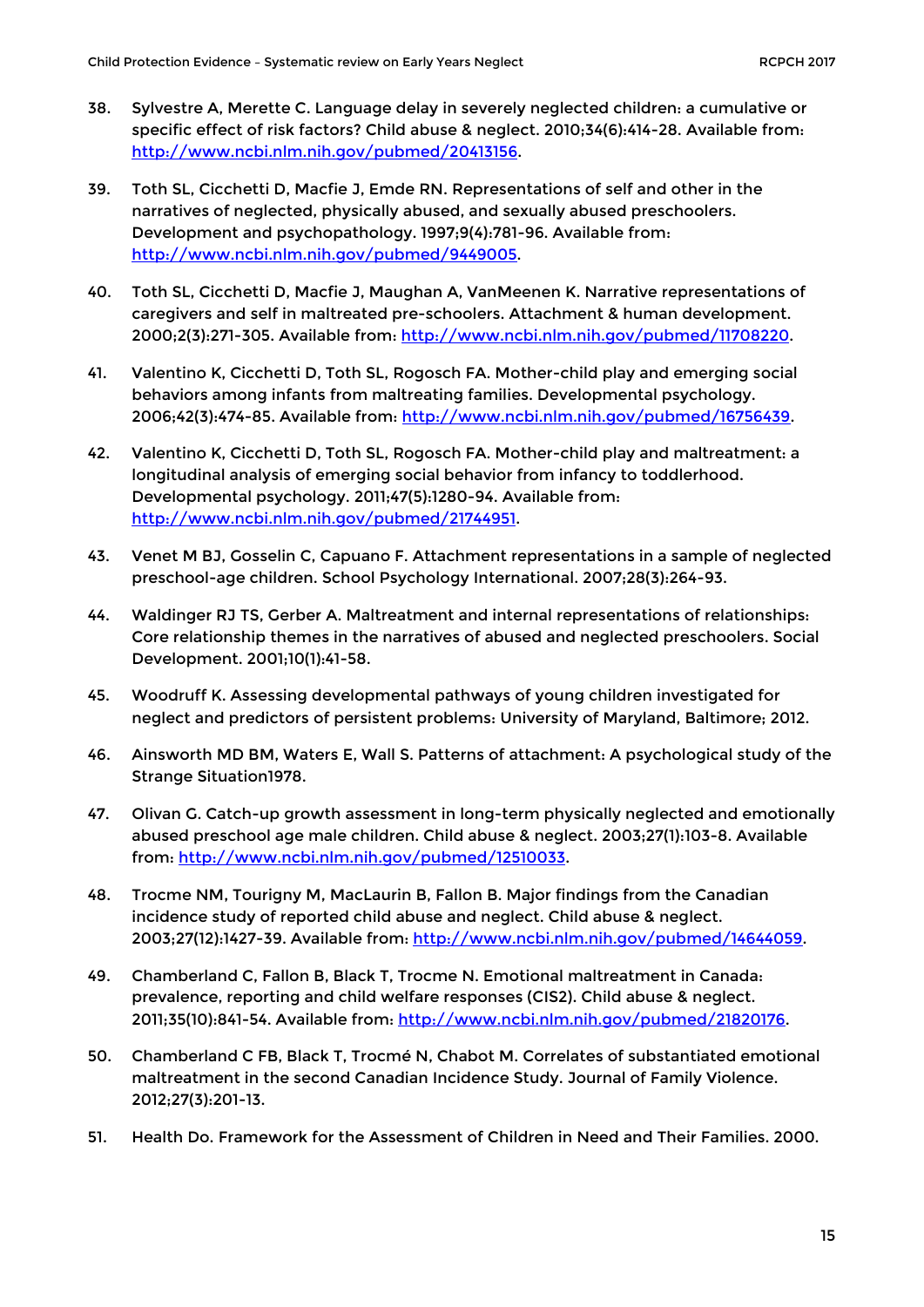- 38. Sylvestre A, Merette C. Language delay in severely neglected children: a cumulative or specific effect of risk factors? Child abuse & neglect. 2010;34(6):414-28. Available from: [http://www.ncbi.nlm.nih.gov/pubmed/20413156.](http://www.ncbi.nlm.nih.gov/pubmed/20413156)
- 39. Toth SL, Cicchetti D, Macfie J, Emde RN. Representations of self and other in the narratives of neglected, physically abused, and sexually abused preschoolers. Development and psychopathology. 1997;9(4):781-96. Available from: [http://www.ncbi.nlm.nih.gov/pubmed/9449005.](http://www.ncbi.nlm.nih.gov/pubmed/9449005)
- 40. Toth SL, Cicchetti D, Macfie J, Maughan A, VanMeenen K. Narrative representations of caregivers and self in maltreated pre-schoolers. Attachment & human development. 2000;2(3):271-305. Available from: [http://www.ncbi.nlm.nih.gov/pubmed/11708220.](http://www.ncbi.nlm.nih.gov/pubmed/11708220)
- 41. Valentino K, Cicchetti D, Toth SL, Rogosch FA. Mother-child play and emerging social behaviors among infants from maltreating families. Developmental psychology. 2006;42(3):474-85. Available from: [http://www.ncbi.nlm.nih.gov/pubmed/16756439.](http://www.ncbi.nlm.nih.gov/pubmed/16756439)
- 42. Valentino K, Cicchetti D, Toth SL, Rogosch FA. Mother-child play and maltreatment: a longitudinal analysis of emerging social behavior from infancy to toddlerhood. Developmental psychology. 2011;47(5):1280-94. Available from: [http://www.ncbi.nlm.nih.gov/pubmed/21744951.](http://www.ncbi.nlm.nih.gov/pubmed/21744951)
- 43. Venet M BJ, Gosselin C, Capuano F. Attachment representations in a sample of neglected preschool-age children. School Psychology International. 2007;28(3):264-93.
- 44. Waldinger RJ TS, Gerber A. Maltreatment and internal representations of relationships: Core relationship themes in the narratives of abused and neglected preschoolers. Social Development. 2001;10(1):41-58.
- 45. Woodruff K. Assessing developmental pathways of young children investigated for neglect and predictors of persistent problems: University of Maryland, Baltimore; 2012.
- 46. Ainsworth MD BM, Waters E, Wall S. Patterns of attachment: A psychological study of the Strange Situation1978.
- 47. Olivan G. Catch-up growth assessment in long-term physically neglected and emotionally abused preschool age male children. Child abuse & neglect. 2003;27(1):103-8. Available from: [http://www.ncbi.nlm.nih.gov/pubmed/12510033.](http://www.ncbi.nlm.nih.gov/pubmed/12510033)
- 48. Trocme NM, Tourigny M, MacLaurin B, Fallon B. Major findings from the Canadian incidence study of reported child abuse and neglect. Child abuse & neglect. 2003;27(12):1427-39. Available from: [http://www.ncbi.nlm.nih.gov/pubmed/14644059.](http://www.ncbi.nlm.nih.gov/pubmed/14644059)
- 49. Chamberland C, Fallon B, Black T, Trocme N. Emotional maltreatment in Canada: prevalence, reporting and child welfare responses (CIS2). Child abuse & neglect. 2011;35(10):841-54. Available from: [http://www.ncbi.nlm.nih.gov/pubmed/21820176.](http://www.ncbi.nlm.nih.gov/pubmed/21820176)
- 50. Chamberland C FB, Black T, Trocmé N, Chabot M. Correlates of substantiated emotional maltreatment in the second Canadian Incidence Study. Journal of Family Violence. 2012;27(3):201-13.
- 51. Health Do. Framework for the Assessment of Children in Need and Their Families. 2000.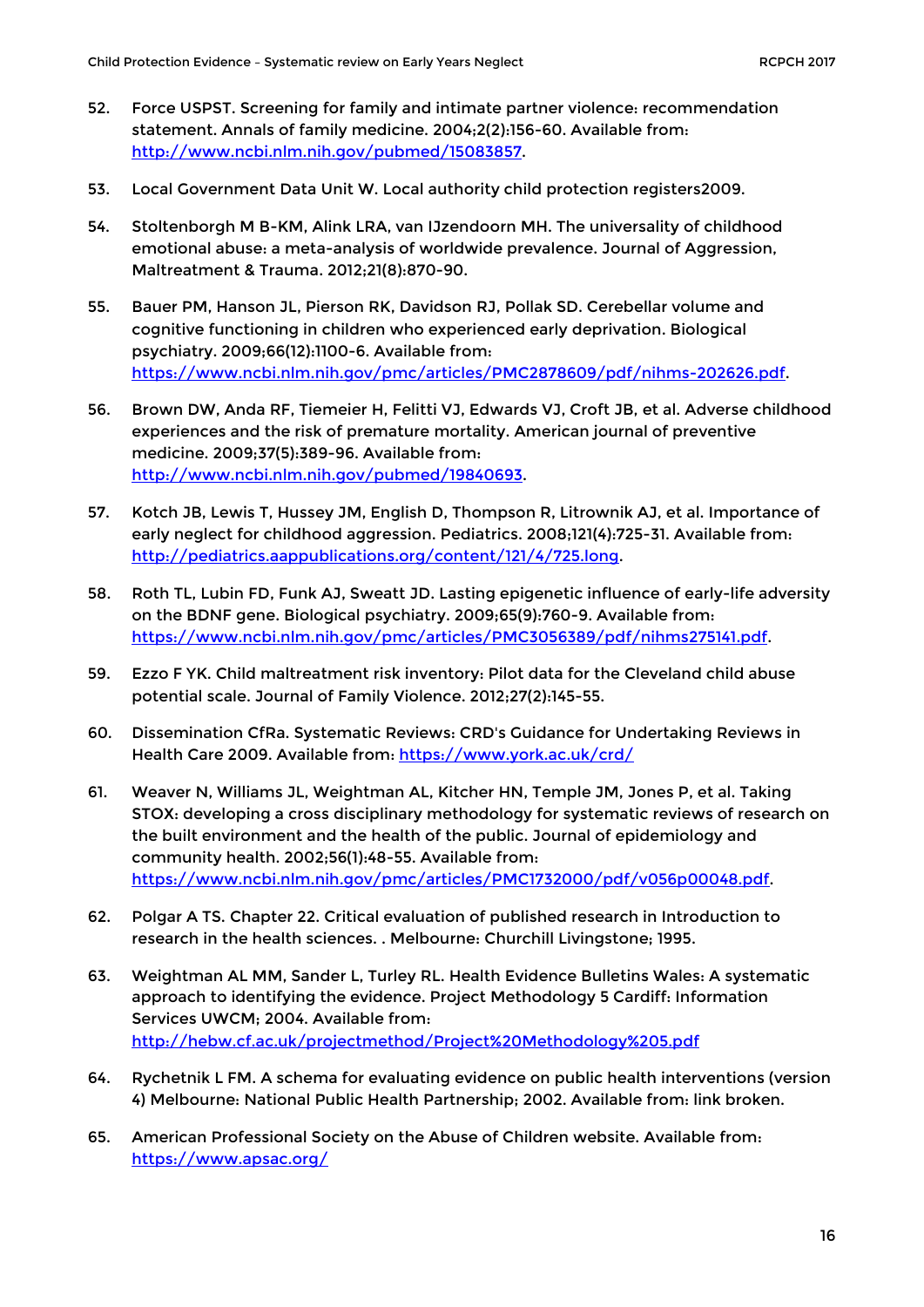- 52. Force USPST. Screening for family and intimate partner violence: recommendation statement. Annals of family medicine. 2004;2(2):156-60. Available from: [http://www.ncbi.nlm.nih.gov/pubmed/15083857.](http://www.ncbi.nlm.nih.gov/pubmed/15083857)
- 53. Local Government Data Unit W. Local authority child protection registers2009.
- 54. Stoltenborgh M B-KM, Alink LRA, van IJzendoorn MH. The universality of childhood emotional abuse: a meta-analysis of worldwide prevalence. Journal of Aggression, Maltreatment & Trauma. 2012;21(8):870-90.
- 55. Bauer PM, Hanson JL, Pierson RK, Davidson RJ, Pollak SD. Cerebellar volume and cognitive functioning in children who experienced early deprivation. Biological psychiatry. 2009;66(12):1100-6. Available from: [https://www.ncbi.nlm.nih.gov/pmc/articles/PMC2878609/pdf/nihms-202626.pdf.](https://www.ncbi.nlm.nih.gov/pmc/articles/PMC2878609/pdf/nihms-202626.pdf)
- 56. Brown DW, Anda RF, Tiemeier H, Felitti VJ, Edwards VJ, Croft JB, et al. Adverse childhood experiences and the risk of premature mortality. American journal of preventive medicine. 2009;37(5):389-96. Available from: [http://www.ncbi.nlm.nih.gov/pubmed/19840693.](http://www.ncbi.nlm.nih.gov/pubmed/19840693)
- 57. Kotch JB, Lewis T, Hussey JM, English D, Thompson R, Litrownik AJ, et al. Importance of early neglect for childhood aggression. Pediatrics. 2008;121(4):725-31. Available from: [http://pediatrics.aappublications.org/content/121/4/725.long.](http://pediatrics.aappublications.org/content/121/4/725.long)
- 58. Roth TL, Lubin FD, Funk AJ, Sweatt JD. Lasting epigenetic influence of early-life adversity on the BDNF gene. Biological psychiatry. 2009;65(9):760-9. Available from: [https://www.ncbi.nlm.nih.gov/pmc/articles/PMC3056389/pdf/nihms275141.pdf.](https://www.ncbi.nlm.nih.gov/pmc/articles/PMC3056389/pdf/nihms275141.pdf)
- 59. Ezzo F YK. Child maltreatment risk inventory: Pilot data for the Cleveland child abuse potential scale. Journal of Family Violence. 2012;27(2):145-55.
- 60. Dissemination CfRa. Systematic Reviews: CRD's Guidance for Undertaking Reviews in Health Care 2009. Available from:<https://www.york.ac.uk/crd/>
- 61. Weaver N, Williams JL, Weightman AL, Kitcher HN, Temple JM, Jones P, et al. Taking STOX: developing a cross disciplinary methodology for systematic reviews of research on the built environment and the health of the public. Journal of epidemiology and community health. 2002;56(1):48-55. Available from: [https://www.ncbi.nlm.nih.gov/pmc/articles/PMC1732000/pdf/v056p00048.pdf.](https://www.ncbi.nlm.nih.gov/pmc/articles/PMC1732000/pdf/v056p00048.pdf)
- 62. Polgar A TS. Chapter 22. Critical evaluation of published research in Introduction to research in the health sciences. . Melbourne: Churchill Livingstone; 1995.
- 63. Weightman AL MM, Sander L, Turley RL. Health Evidence Bulletins Wales: A systematic approach to identifying the evidence. Project Methodology 5 Cardiff: Information Services UWCM; 2004. Available from: <http://hebw.cf.ac.uk/projectmethod/Project%20Methodology%205.pdf>
- 64. Rychetnik L FM. A schema for evaluating evidence on public health interventions (version 4) Melbourne: National Public Health Partnership; 2002. Available from: link broken.
- 65. American Professional Society on the Abuse of Children website. Available from: <https://www.apsac.org/>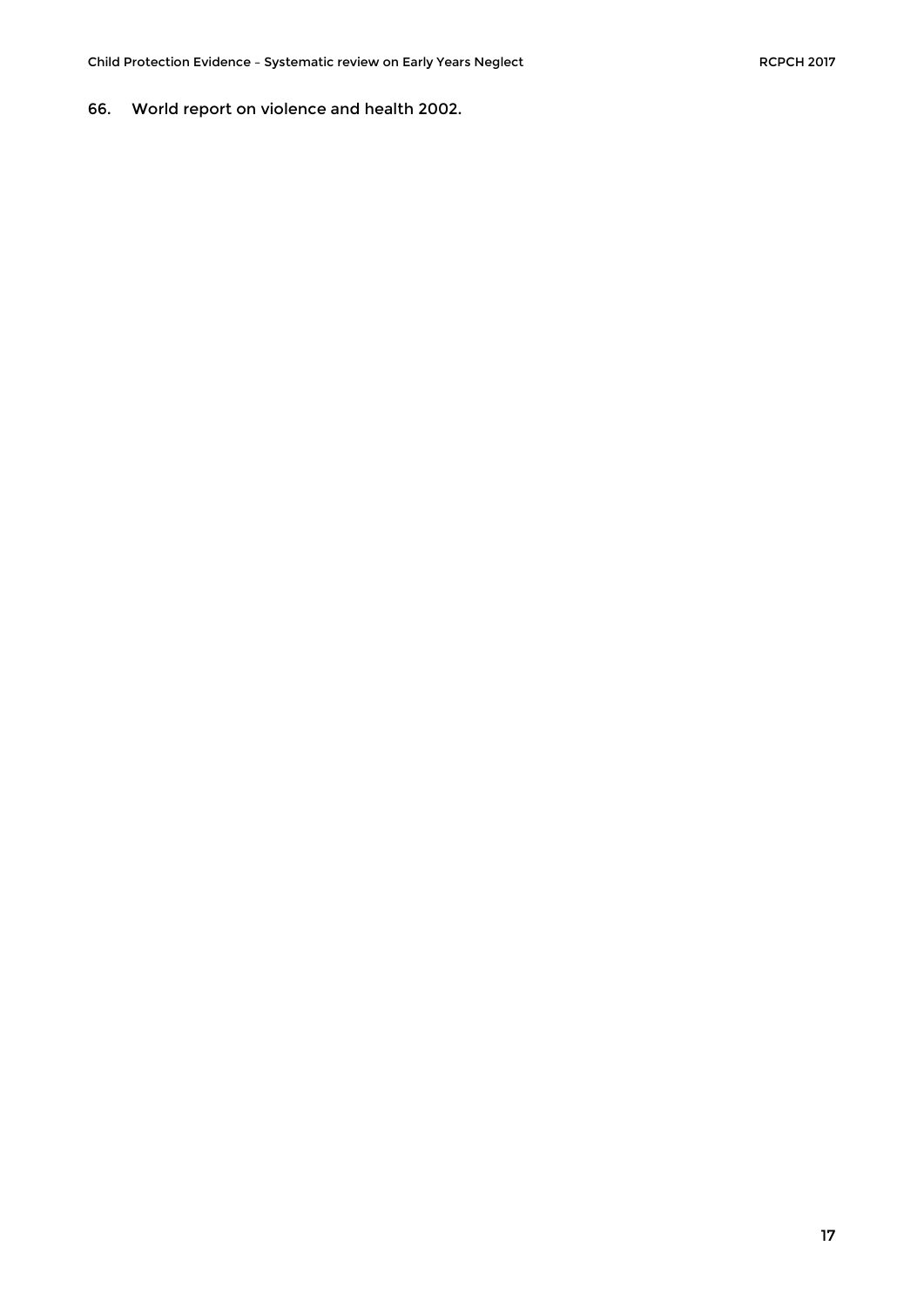66. World report on violence and health 2002.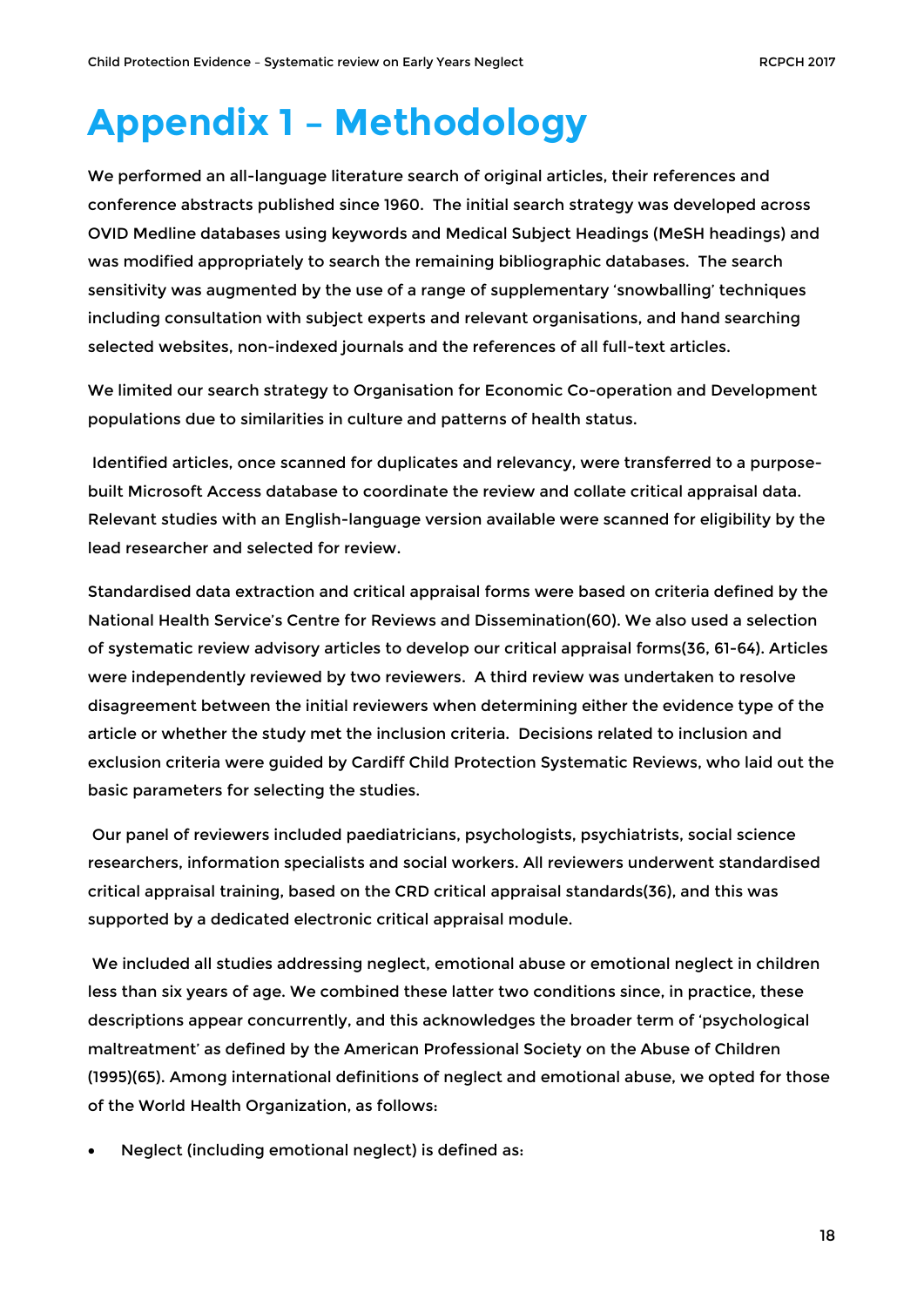# <span id="page-17-0"></span>**Appendix 1 – Methodology**

We performed an all-language literature search of original articles, their references and conference abstracts published since 1960. The initial search strategy was developed across OVID Medline databases using keywords and Medical Subject Headings (MeSH headings) and was modified appropriately to search the remaining bibliographic databases. The search sensitivity was augmented by the use of a range of supplementary 'snowballing' techniques including consultation with subject experts and relevant organisations, and hand searching selected websites, non-indexed journals and the references of all full-text articles.

We limited our search strategy to Organisation for Economic Co-operation and Development populations due to similarities in culture and patterns of health status.

Identified articles, once scanned for duplicates and relevancy, were transferred to a purposebuilt Microsoft Access database to coordinate the review and collate critical appraisal data. Relevant studies with an English-language version available were scanned for eligibility by the lead researcher and selected for review.

Standardised data extraction and critical appraisal forms were based on criteria defined by the National Health Service's Centre for Reviews and Dissemination(60). We also used a selection of systematic review advisory articles to develop our critical appraisal forms(36, 61-64). Articles were independently reviewed by two reviewers. A third review was undertaken to resolve disagreement between the initial reviewers when determining either the evidence type of the article or whether the study met the inclusion criteria. Decisions related to inclusion and exclusion criteria were guided by Cardiff Child Protection Systematic Reviews, who laid out the basic parameters for selecting the studies.

Our panel of reviewers included paediatricians, psychologists, psychiatrists, social science researchers, information specialists and social workers. All reviewers underwent standardised critical appraisal training, based on the CRD critical appraisal standards(36), and this was supported by a dedicated electronic critical appraisal module.

We included all studies addressing neglect, emotional abuse or emotional neglect in children less than six years of age. We combined these latter two conditions since, in practice, these descriptions appear concurrently, and this acknowledges the broader term of 'psychological maltreatment' as defined by the American Professional Society on the Abuse of Children (1995)(65). Among international definitions of neglect and emotional abuse, we opted for those of the World Health Organization, as follows:

• Neglect (including emotional neglect) is defined as: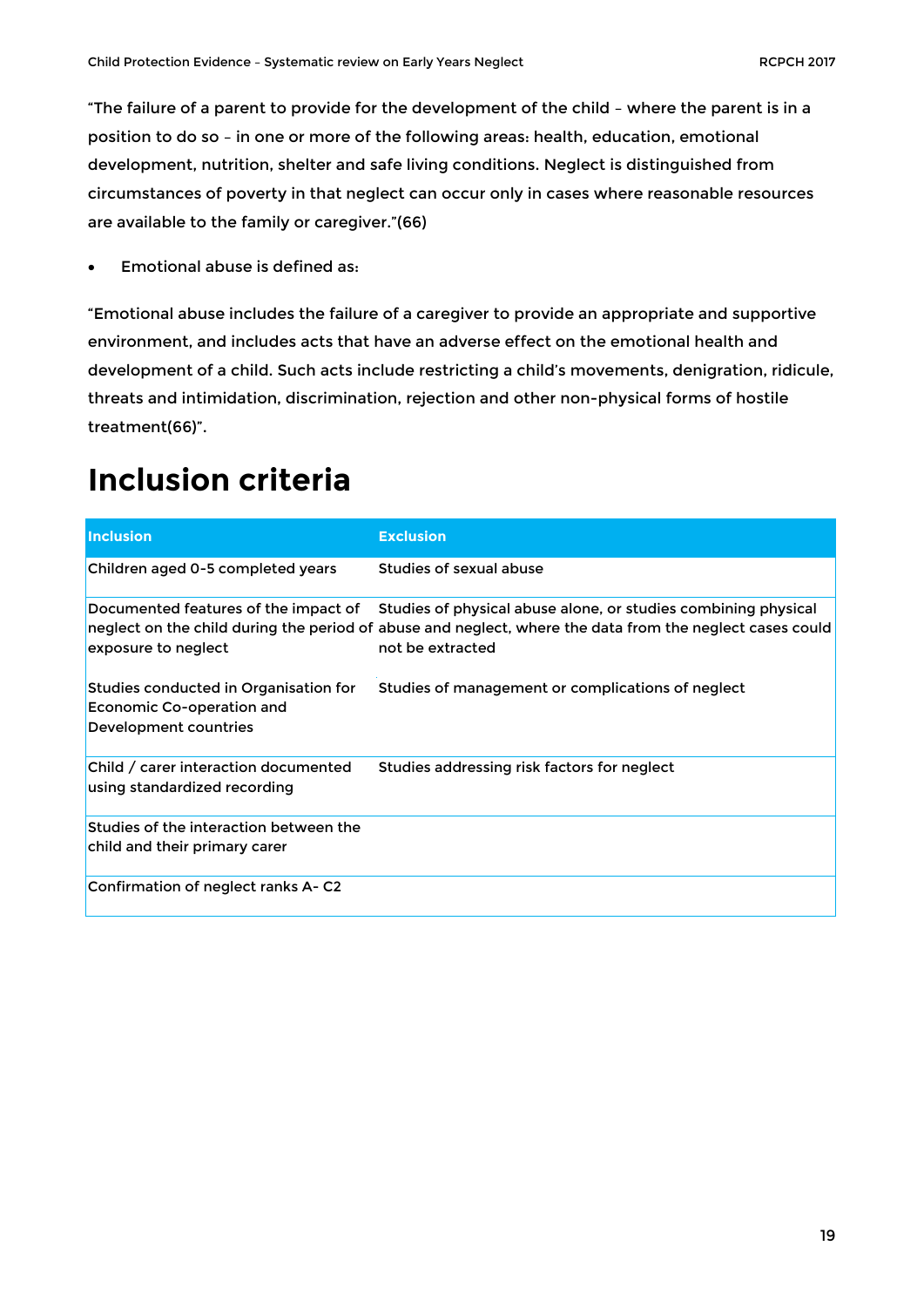"The failure of a parent to provide for the development of the child – where the parent is in a position to do so – in one or more of the following areas: health, education, emotional development, nutrition, shelter and safe living conditions. Neglect is distinguished from circumstances of poverty in that neglect can occur only in cases where reasonable resources are available to the family or caregiver."(66)

• Emotional abuse is defined as:

"Emotional abuse includes the failure of a caregiver to provide an appropriate and supportive environment, and includes acts that have an adverse effect on the emotional health and development of a child. Such acts include restricting a child's movements, denigration, ridicule, threats and intimidation, discrimination, rejection and other non-physical forms of hostile treatment(66)".

### <span id="page-18-0"></span>**Inclusion criteria**

<span id="page-18-1"></span>

| <b>Inclusion</b>                                                                            | <b>Exclusion</b>                                                                                                                                                                               |
|---------------------------------------------------------------------------------------------|------------------------------------------------------------------------------------------------------------------------------------------------------------------------------------------------|
| Children aged 0-5 completed years                                                           | Studies of sexual abuse                                                                                                                                                                        |
| Documented features of the impact of<br>exposure to neglect                                 | Studies of physical abuse alone, or studies combining physical<br>neglect on the child during the period of abuse and neglect, where the data from the neglect cases could<br>not be extracted |
| Studies conducted in Organisation for<br>Economic Co-operation and<br>Development countries | Studies of management or complications of neglect                                                                                                                                              |
| Child / carer interaction documented<br>using standardized recording                        | Studies addressing risk factors for neglect                                                                                                                                                    |
| Studies of the interaction between the<br>child and their primary carer                     |                                                                                                                                                                                                |
| Confirmation of neglect ranks A-C2                                                          |                                                                                                                                                                                                |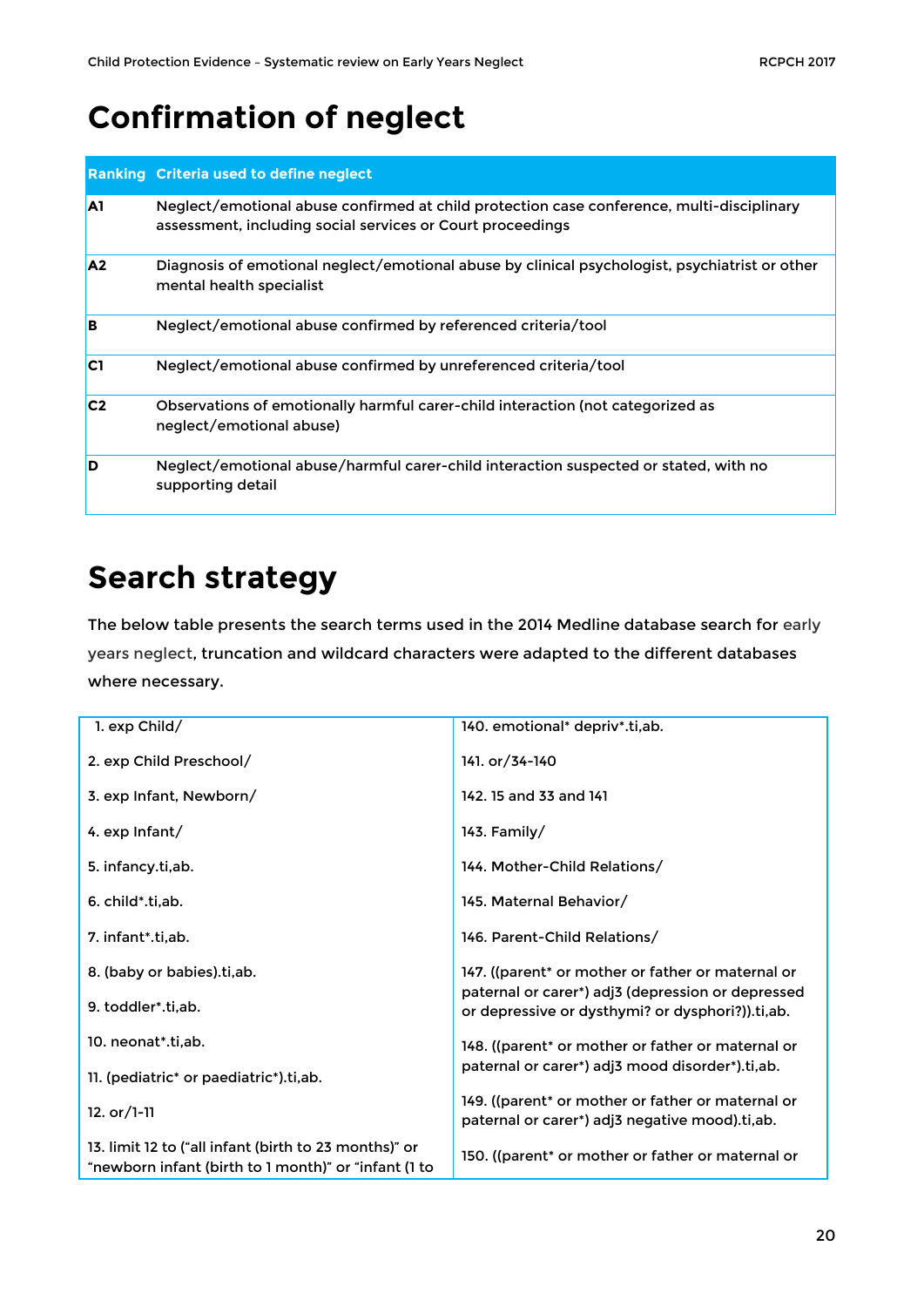### **Confirmation of neglect**

|                | <b>Ranking Criteria used to define neglect</b>                                                                                                          |
|----------------|---------------------------------------------------------------------------------------------------------------------------------------------------------|
| A1             | Neglect/emotional abuse confirmed at child protection case conference, multi-disciplinary<br>assessment, including social services or Court proceedings |
| A <sub>2</sub> | Diagnosis of emotional neglect/emotional abuse by clinical psychologist, psychiatrist or other<br>mental health specialist                              |
| B              | Neglect/emotional abuse confirmed by referenced criteria/tool                                                                                           |
| C <sub>1</sub> | Neglect/emotional abuse confirmed by unreferenced criteria/tool                                                                                         |
| C <sub>2</sub> | Observations of emotionally harmful carer-child interaction (not categorized as<br>neglect/emotional abuse)                                             |
| D              | Neglect/emotional abuse/harmful carer-child interaction suspected or stated, with no<br>supporting detail                                               |

### <span id="page-19-0"></span>**Search strategy**

The below table presents the search terms used in the 2014 Medline database search for early years neglect, truncation and wildcard characters were adapted to the different databases where necessary.

| 1. exp Child/                                                                                                 | 140. emotional* depriv*.ti,ab.                                                                        |
|---------------------------------------------------------------------------------------------------------------|-------------------------------------------------------------------------------------------------------|
| 2. exp Child Preschool/                                                                                       | 141. or/34-140                                                                                        |
| 3. exp Infant, Newborn/                                                                                       | 142. 15 and 33 and 141                                                                                |
| 4. exp Infant/                                                                                                | 143. Family/                                                                                          |
| 5. infancy.ti, ab.                                                                                            | 144. Mother-Child Relations/                                                                          |
| 6. child*.ti.ab.                                                                                              | 145. Maternal Behavior/                                                                               |
| 7. infant*.ti.ab.                                                                                             | 146. Parent-Child Relations/                                                                          |
| 8. (baby or babies).ti,ab.                                                                                    | 147. ((parent* or mother or father or maternal or                                                     |
| 9. toddler*.ti,ab.                                                                                            | paternal or carer*) adj3 (depression or depressed<br>or depressive or dysthymi? or dysphori?)).ti,ab. |
| 10. neonat*.ti,ab.                                                                                            | 148. ((parent* or mother or father or maternal or                                                     |
| 11. (pediatric* or paediatric*).ti,ab.                                                                        | paternal or carer*) adj3 mood disorder*).ti,ab.                                                       |
| 12. $or/1-11$                                                                                                 | 149. ((parent* or mother or father or maternal or<br>paternal or carer*) adj3 negative mood).ti,ab.   |
| 13. limit 12 to ("all infant (birth to 23 months)" or<br>"newborn infant (birth to 1 month)" or "infant (1 to | 150. ((parent* or mother or father or maternal or                                                     |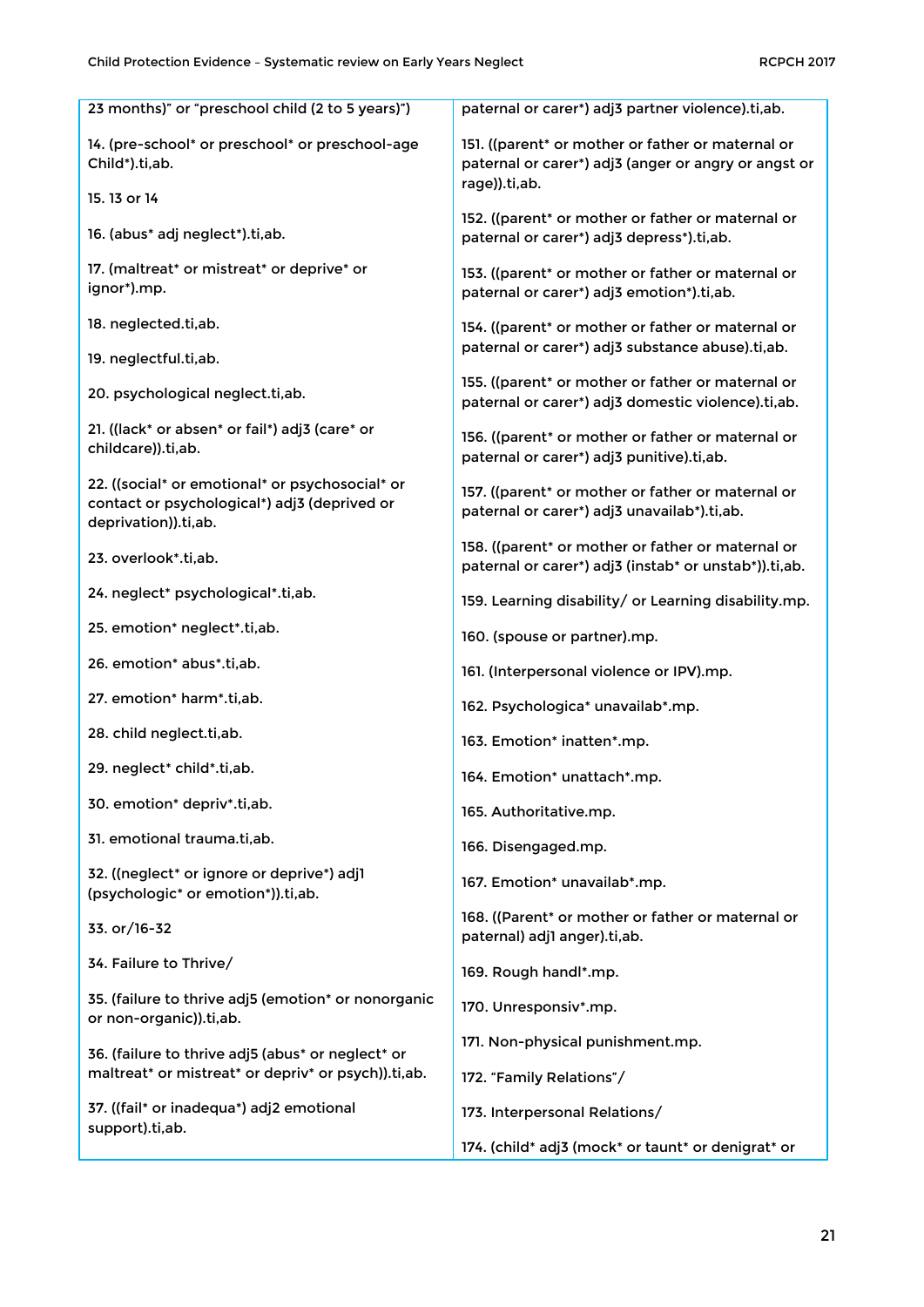| 23 months)" or "preschool child (2 to 5 years)")                                                                        | paternal or carer*) adj3 partner violence).ti,ab.                                                                          |
|-------------------------------------------------------------------------------------------------------------------------|----------------------------------------------------------------------------------------------------------------------------|
| 14. (pre-school* or preschool* or preschool-age<br>Child*).ti,ab.                                                       | 151. ((parent* or mother or father or maternal or<br>paternal or carer*) adj3 (anger or angry or angst or<br>rage)).ti,ab. |
| 15.13 or 14                                                                                                             |                                                                                                                            |
| 16. (abus* adj neglect*).ti,ab.                                                                                         | 152. ((parent* or mother or father or maternal or<br>paternal or carer*) adj3 depress*).ti,ab.                             |
| 17. (maltreat* or mistreat* or deprive* or<br>ignor*).mp.                                                               | 153. ((parent* or mother or father or maternal or<br>paternal or carer*) adj3 emotion*).ti,ab.                             |
| 18. neglected.ti,ab.                                                                                                    | 154. ((parent* or mother or father or maternal or                                                                          |
| 19. neglectful.ti,ab.                                                                                                   | paternal or carer*) adj3 substance abuse).ti,ab.                                                                           |
| 20. psychological neglect.ti,ab.                                                                                        | 155. ((parent* or mother or father or maternal or<br>paternal or carer*) adj3 domestic violence).ti,ab.                    |
| 21. ((lack* or absen* or fail*) adj3 (care* or<br>childcare)).ti,ab.                                                    | 156. ((parent* or mother or father or maternal or<br>paternal or carer*) adj3 punitive).ti,ab.                             |
| 22. ((social* or emotional* or psychosocial* or<br>contact or psychological*) adj3 (deprived or<br>deprivation)).ti,ab. | 157. ((parent* or mother or father or maternal or<br>paternal or carer*) adj3 unavailab*).ti,ab.                           |
| 23. overlook*.ti,ab.                                                                                                    | 158. ((parent* or mother or father or maternal or<br>paternal or carer*) adj3 (instab* or unstab*)).ti,ab.                 |
| 24. neglect* psychological*.ti,ab.                                                                                      | 159. Learning disability/ or Learning disability.mp.                                                                       |
| 25. emotion* neglect*.ti,ab.                                                                                            | 160. (spouse or partner).mp.                                                                                               |
| 26. emotion* abus*.ti,ab.                                                                                               | 161. (Interpersonal violence or IPV).mp.                                                                                   |
| 27. emotion* harm*.ti,ab.                                                                                               | 162. Psychologica* unavailab*.mp.                                                                                          |
| 28. child neglect.ti,ab.                                                                                                | 163. Emotion* inatten*.mp.                                                                                                 |
| 29. neglect* child*.ti,ab.                                                                                              | 164. Emotion* unattach*.mp.                                                                                                |
| 30. emotion* depriv*.ti,ab.                                                                                             | 165. Authoritative.mp.                                                                                                     |
| 31. emotional trauma.ti,ab.                                                                                             | 166. Disengaged.mp.                                                                                                        |
| 32. ((neglect* or ignore or deprive*) adj1<br>(psychologic* or emotion*)).ti,ab.                                        | 167. Emotion* unavailab*.mp.                                                                                               |
| 33. or/16-32                                                                                                            | 168. ((Parent* or mother or father or maternal or<br>paternal) adj1 anger).ti,ab.                                          |
| 34. Failure to Thrive/                                                                                                  | 169. Rough handl*.mp.                                                                                                      |
| 35. (failure to thrive adj5 (emotion* or nonorganic<br>or non-organic)).ti,ab.                                          | 170. Unresponsiv*.mp.                                                                                                      |
| 36. (failure to thrive adj5 (abus* or neglect* or                                                                       | 171. Non-physical punishment.mp.                                                                                           |
| maltreat* or mistreat* or depriv* or psych)).ti,ab.                                                                     | 172. "Family Relations"/                                                                                                   |
| 37. ((fail* or inadequa*) adj2 emotional<br>support).ti,ab.                                                             | 173. Interpersonal Relations/                                                                                              |
|                                                                                                                         | 174. (child* adj3 (mock* or taunt* or denigrat* or                                                                         |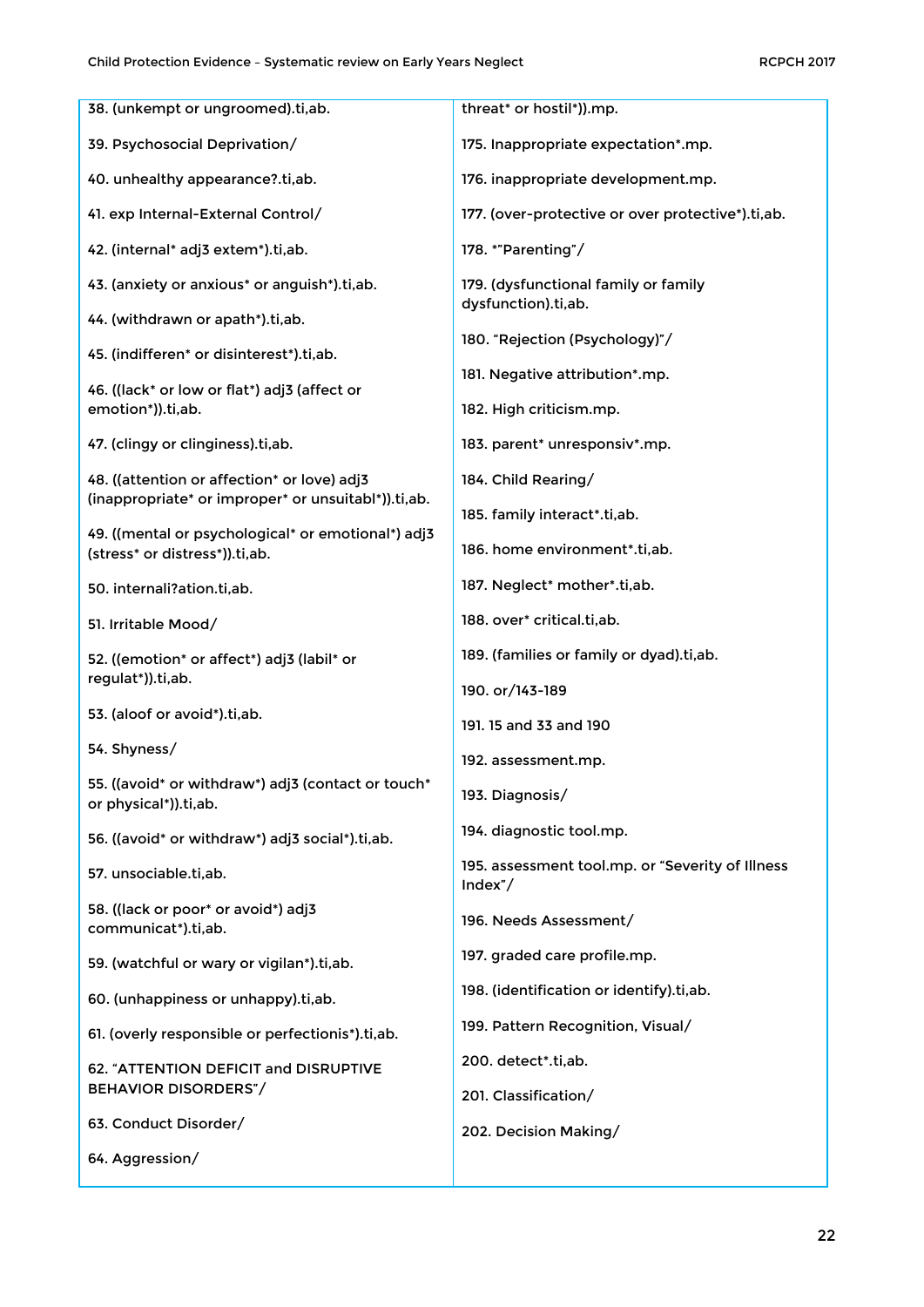| 38. (unkempt or ungroomed).ti,ab.                                                    | threat* or hostil*)).mp.                                     |
|--------------------------------------------------------------------------------------|--------------------------------------------------------------|
| 39. Psychosocial Deprivation/                                                        | 175. Inappropriate expectation*.mp.                          |
| 40. unhealthy appearance?.ti,ab.                                                     | 176. inappropriate development.mp.                           |
| 41. exp Internal-External Control/                                                   | 177. (over-protective or over protective*).ti,ab.            |
| 42. (internal* adj3 extem*).ti,ab.                                                   | 178. *"Parenting"/                                           |
| 43. (anxiety or anxious* or anguish*).ti,ab.                                         | 179. (dysfunctional family or family<br>dysfunction).ti,ab.  |
| 44. (withdrawn or apath*).ti,ab.                                                     |                                                              |
| 45. (indifferen* or disinterest*).ti,ab.                                             | 180. "Rejection (Psychology)"/                               |
| 46. ((lack* or low or flat*) adj3 (affect or<br>emotion*)).ti,ab.                    | 181. Negative attribution*.mp.<br>182. High criticism.mp.    |
| 47. (clingy or clinginess).ti,ab.                                                    | 183. parent* unresponsiv*.mp.                                |
| 48. ((attention or affection* or love) adj3                                          | 184. Child Rearing/                                          |
| (inappropriate* or improper* or unsuitabl*)).ti,ab.                                  | 185. family interact*.ti,ab.                                 |
| 49. ((mental or psychological* or emotional*) adj3<br>(stress* or distress*)).ti,ab. | 186. home environment*.ti,ab.                                |
| 50. internali?ation.ti,ab.                                                           | 187. Neglect* mother*.ti,ab.                                 |
| 51. Irritable Mood/                                                                  | 188. over* critical.ti,ab.                                   |
| 52. ((emotion* or affect*) adj3 (labil* or                                           | 189. (families or family or dyad).ti,ab.                     |
| regulat*)).ti,ab.                                                                    | 190. or/143-189                                              |
| 53. (aloof or avoid*).ti,ab.                                                         | 191. 15 and 33 and 190                                       |
| 54. Shyness/                                                                         | 192. assessment.mp.                                          |
| 55. ((avoid* or withdraw*) adj3 (contact or touch*<br>or physical*)).ti,ab.          | 193. Diagnosis/                                              |
| 56. ((avoid* or withdraw*) adj3 social*).ti,ab.                                      | 194. diagnostic tool.mp.                                     |
| 57. unsociable.ti,ab.                                                                | 195. assessment tool.mp. or "Severity of Illness<br>Index''/ |
| 58. ((lack or poor* or avoid*) adj3<br>communicat*).ti,ab.                           | 196. Needs Assessment/                                       |
| 59. (watchful or wary or vigilan*).ti,ab.                                            | 197. graded care profile.mp.                                 |
| 60. (unhappiness or unhappy).ti,ab.                                                  | 198. (identification or identify).ti,ab.                     |
| 61. (overly responsible or perfectionis*).ti,ab.                                     | 199. Pattern Recognition, Visual/                            |
| 62. "ATTENTION DEFICIT and DISRUPTIVE                                                | 200. detect*.ti,ab.                                          |
| <b>BEHAVIOR DISORDERS"/</b>                                                          | 201. Classification/                                         |
| 63. Conduct Disorder/                                                                | 202. Decision Making/                                        |
| 64. Aggression/                                                                      |                                                              |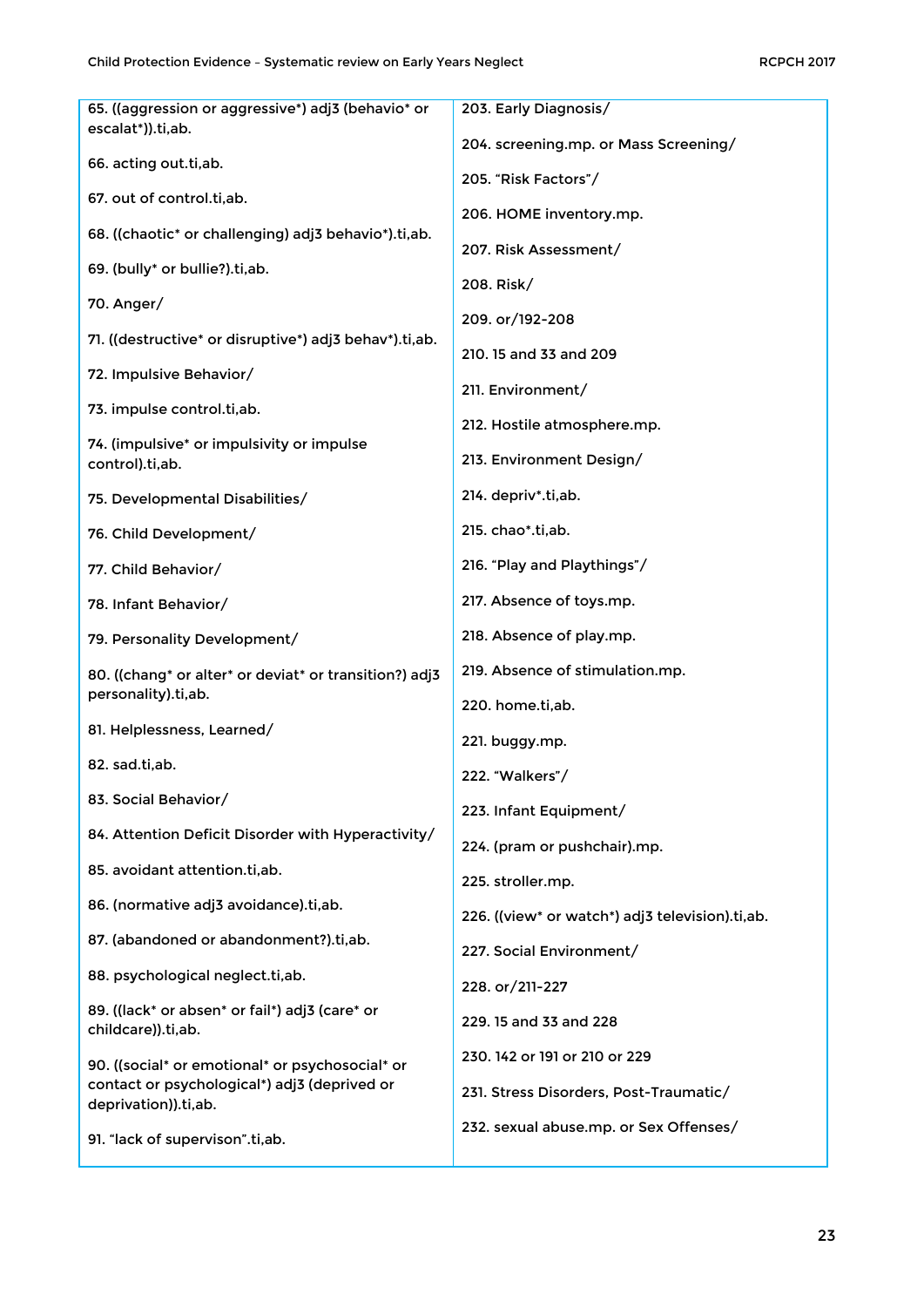| 65. ((aggression or aggressive*) adj3 (behavio* or                   | 203. Early Diagnosis/                           |
|----------------------------------------------------------------------|-------------------------------------------------|
| escalat*)).ti,ab.                                                    | 204. screening.mp. or Mass Screening/           |
| 66. acting out.ti,ab.                                                | 205. "Risk Factors"/                            |
| 67. out of control.ti,ab.                                            | 206. HOME inventory.mp.                         |
| 68. ((chaotic* or challenging) adj3 behavio*).ti,ab.                 | 207. Risk Assessment/                           |
| 69. (bully <sup>*</sup> or bullie?).ti,ab.                           | 208. Risk/                                      |
| 70. Anger/                                                           | 209. or/192-208                                 |
| 71. ((destructive* or disruptive*) adj3 behav*).ti,ab.               | 210. 15 and 33 and 209                          |
| 72. Impulsive Behavior/                                              | 211. Environment/                               |
| 73. impulse control.ti,ab.                                           | 212. Hostile atmosphere.mp.                     |
| 74. (impulsive* or impulsivity or impulse<br>control).ti,ab.         | 213. Environment Design/                        |
| 75. Developmental Disabilities/                                      | 214. depriv*.ti,ab.                             |
| 76. Child Development/                                               | 215. chao*.ti,ab.                               |
| 77. Child Behavior/                                                  | 216. "Play and Playthings"/                     |
| 78. Infant Behavior/                                                 | 217. Absence of toys.mp.                        |
| 79. Personality Development/                                         | 218. Absence of play.mp.                        |
| 80. ((chang* or alter* or deviat* or transition?) adj3               | 219. Absence of stimulation.mp.                 |
| personality).ti,ab.                                                  | 220. home.ti,ab.                                |
| 81. Helplessness, Learned/                                           | 221. buggy.mp.                                  |
| 82. sad.ti,ab.                                                       | 222. "Walkers"/                                 |
| 83. Social Behavior/                                                 | 223. Infant Equipment/                          |
| 84. Attention Deficit Disorder with Hyperactivity/                   | 224. (pram or pushchair).mp.                    |
| 85. avoidant attention.ti, ab.                                       | 225. stroller.mp.                               |
| 86. (normative adj3 avoidance).ti,ab.                                | 226. ((view* or watch*) adj3 television).ti,ab. |
| 87. (abandoned or abandonment?).ti,ab.                               | 227. Social Environment/                        |
| 88. psychological neglect.ti,ab.                                     | 228. or/211-227                                 |
| 89. ((lack* or absen* or fail*) adj3 (care* or<br>childcare)).ti,ab. | 229. 15 and 33 and 228                          |
| 90. ((social* or emotional* or psychosocial* or                      | 230, 142 or 191 or 210 or 229                   |
| contact or psychological*) adj3 (deprived or<br>deprivation)).ti,ab. | 231. Stress Disorders, Post-Traumatic/          |
| 91. "lack of supervison".ti,ab.                                      | 232. sexual abuse.mp. or Sex Offenses/          |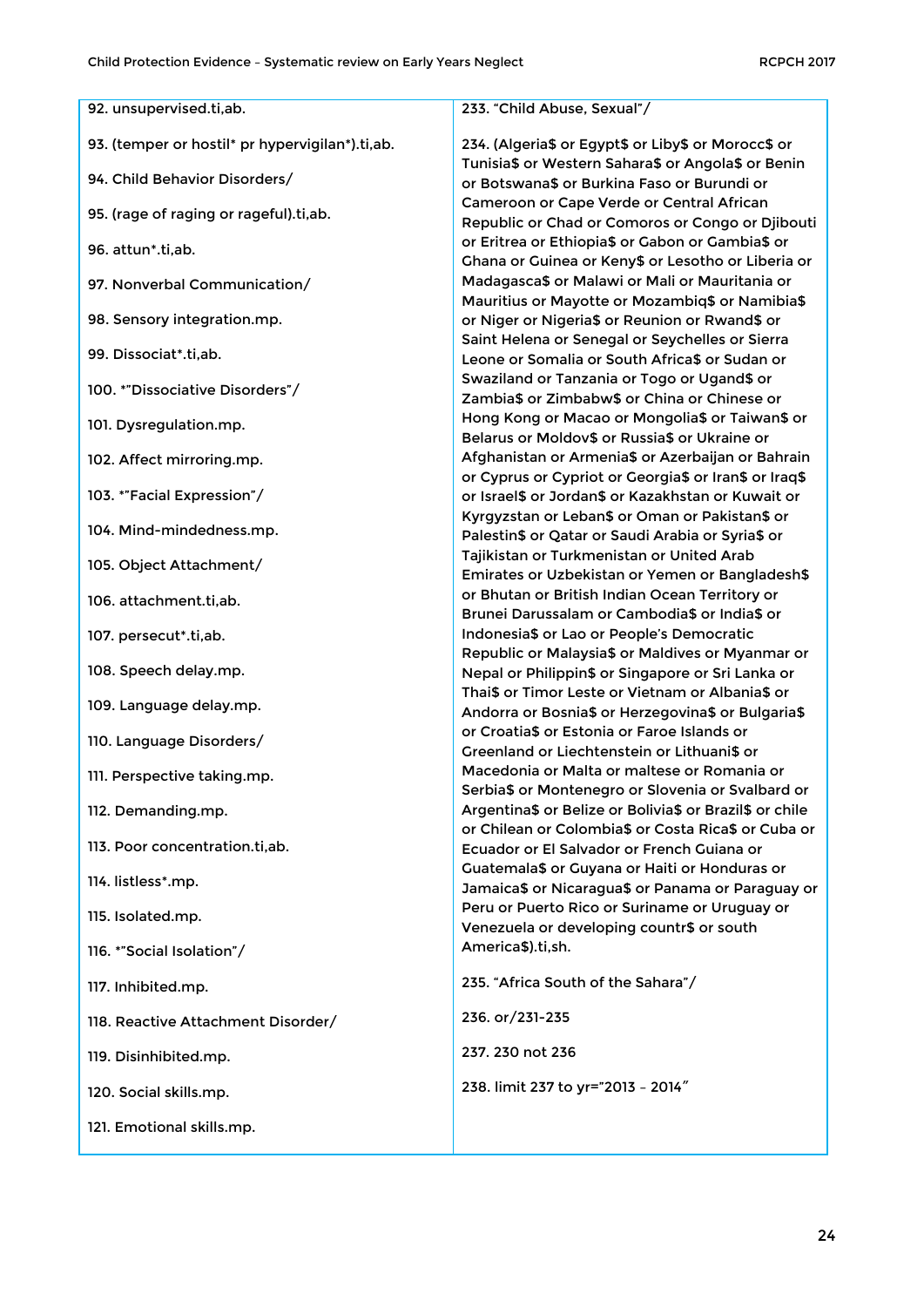| 92. unsupervised.ti,ab.                         | 233. "Child Abuse, Sexual"/                                                                            |
|-------------------------------------------------|--------------------------------------------------------------------------------------------------------|
| 93. (temper or hostil* pr hypervigilan*).ti,ab. | 234. (Algeria\$ or Egypt\$ or Liby\$ or Morocc\$ or                                                    |
|                                                 | Tunisia\$ or Western Sahara\$ or Angola\$ or Benin                                                     |
| 94. Child Behavior Disorders/                   | or Botswana\$ or Burkina Faso or Burundi or                                                            |
| 95. (rage of raging or rageful).ti,ab.          | Cameroon or Cape Verde or Central African                                                              |
|                                                 | Republic or Chad or Comoros or Congo or Djibouti                                                       |
| 96. attun*.ti,ab.                               | or Eritrea or Ethiopia\$ or Gabon or Gambia\$ or<br>Ghana or Guinea or Keny\$ or Lesotho or Liberia or |
| 97. Nonverbal Communication/                    | Madagasca\$ or Malawi or Mali or Mauritania or                                                         |
|                                                 | Mauritius or Mayotte or Mozambiq\$ or Namibia\$                                                        |
| 98. Sensory integration.mp.                     | or Niger or Nigeria\$ or Reunion or Rwand\$ or                                                         |
| 99. Dissociat*.ti,ab.                           | Saint Helena or Senegal or Seychelles or Sierra                                                        |
|                                                 | Leone or Somalia or South Africa\$ or Sudan or                                                         |
| 100. *"Dissociative Disorders"/                 | Swaziland or Tanzania or Togo or Ugand\$ or<br>Zambia\$ or Zimbabw\$ or China or Chinese or            |
|                                                 | Hong Kong or Macao or Mongolia\$ or Taiwan\$ or                                                        |
| 101. Dysregulation.mp.                          | Belarus or Moldov\$ or Russia\$ or Ukraine or                                                          |
| 102. Affect mirroring.mp.                       | Afghanistan or Armenia\$ or Azerbaijan or Bahrain                                                      |
|                                                 | or Cyprus or Cypriot or Georgia\$ or Iran\$ or Iraq\$                                                  |
| 103. *"Facial Expression"/                      | or Israel\$ or Jordan\$ or Kazakhstan or Kuwait or                                                     |
| 104. Mind-mindedness.mp.                        | Kyrgyzstan or Leban\$ or Oman or Pakistan\$ or                                                         |
|                                                 | Palestin\$ or Qatar or Saudi Arabia or Syria\$ or                                                      |
| 105. Object Attachment/                         | Tajikistan or Turkmenistan or United Arab<br>Emirates or Uzbekistan or Yemen or Bangladesh\$           |
|                                                 | or Bhutan or British Indian Ocean Territory or                                                         |
| 106. attachment.ti,ab.                          | Brunei Darussalam or Cambodia\$ or India\$ or                                                          |
| 107. persecut*.ti,ab.                           | Indonesia\$ or Lao or People's Democratic                                                              |
|                                                 | Republic or Malaysia\$ or Maldives or Myanmar or                                                       |
| 108. Speech delay.mp.                           | Nepal or Philippin\$ or Singapore or Sri Lanka or                                                      |
| 109. Language delay.mp.                         | Thai\$ or Timor Leste or Vietnam or Albania\$ or<br>Andorra or Bosnia\$ or Herzegovina\$ or Bulgaria\$ |
|                                                 | or Croatia\$ or Estonia or Faroe Islands or                                                            |
| 110. Language Disorders/                        | Greenland or Liechtenstein or Lithuani\$ or                                                            |
| 111. Perspective taking.mp.                     | Macedonia or Malta or maltese or Romania or                                                            |
|                                                 | Serbia\$ or Montenegro or Slovenia or Svalbard or                                                      |
| 112. Demanding.mp.                              | Argentina\$ or Belize or Bolivia\$ or Brazil\$ or chile                                                |
| 113. Poor concentration.ti,ab.                  | or Chilean or Colombia\$ or Costa Rica\$ or Cuba or                                                    |
|                                                 | Ecuador or El Salvador or French Guiana or<br>Guatemala\$ or Guyana or Haiti or Honduras or            |
| 114. listless*.mp.                              | Jamaica\$ or Nicaragua\$ or Panama or Paraguay or                                                      |
|                                                 | Peru or Puerto Rico or Suriname or Uruguay or                                                          |
| 115. Isolated.mp.                               | Venezuela or developing countr\$ or south                                                              |
| 116. *"Social Isolation"/                       | America\$).ti,sh.                                                                                      |
| 117. Inhibited.mp.                              | 235. "Africa South of the Sahara"/                                                                     |
|                                                 |                                                                                                        |
| 118. Reactive Attachment Disorder/              | 236. or/231-235                                                                                        |
| 119. Disinhibited.mp.                           | 237.230 not 236                                                                                        |
| 120. Social skills.mp.                          | 238. limit 237 to yr="2013 - 2014"                                                                     |
| 121. Emotional skills.mp.                       |                                                                                                        |
|                                                 |                                                                                                        |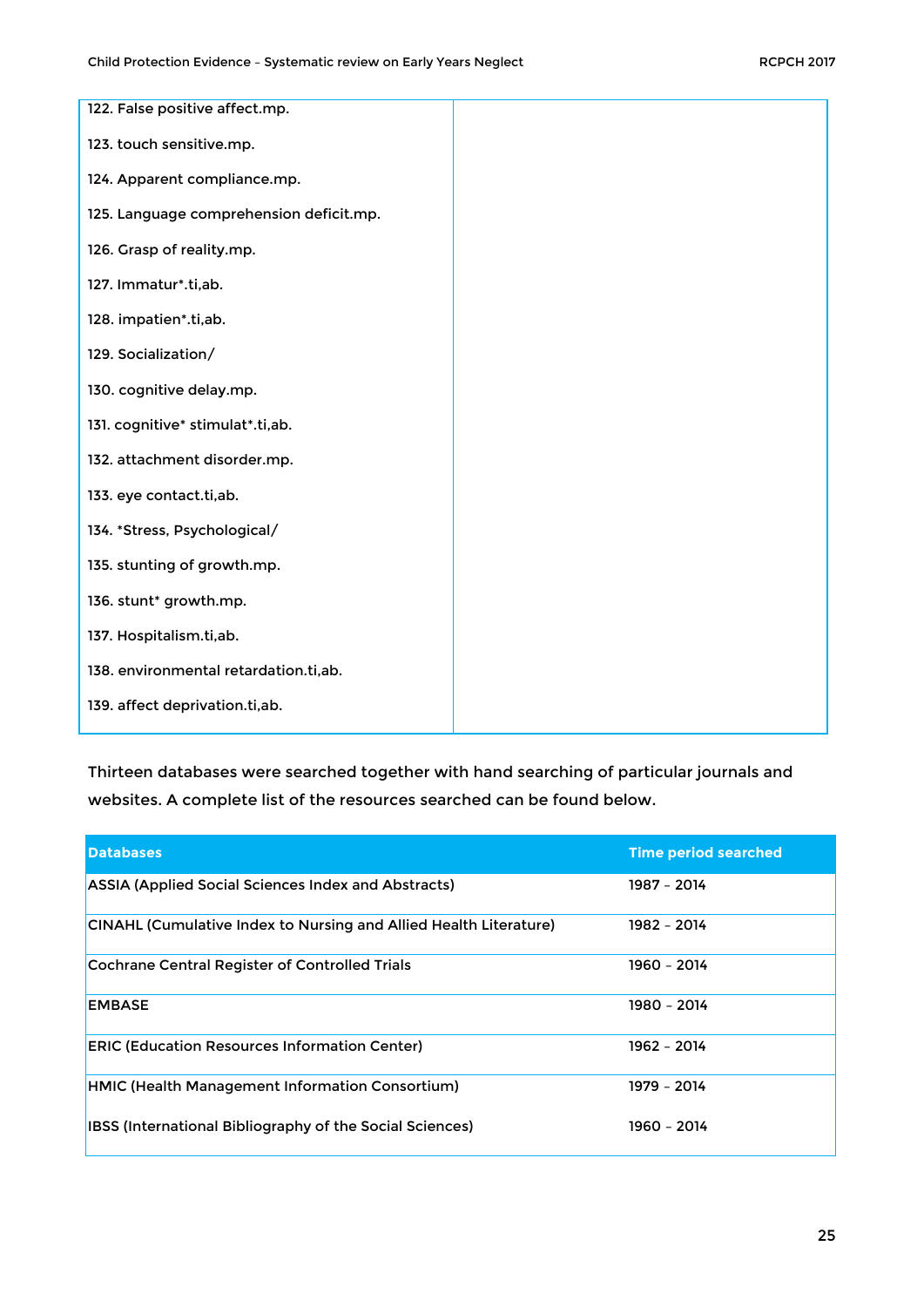| 122. False positive affect.mp.          |  |
|-----------------------------------------|--|
|                                         |  |
| 123. touch sensitive.mp.                |  |
|                                         |  |
| 124. Apparent compliance.mp.            |  |
|                                         |  |
| 125. Language comprehension deficit.mp. |  |
| 126. Grasp of reality.mp.               |  |
|                                         |  |
| 127. Immatur*.ti,ab.                    |  |
|                                         |  |
| 128. impatien*.ti,ab.                   |  |
|                                         |  |
| 129. Socialization/                     |  |
|                                         |  |
| 130. cognitive delay.mp.                |  |
| 131. cognitive* stimulat*.ti,ab.        |  |
|                                         |  |
| 132. attachment disorder.mp.            |  |
|                                         |  |
| 133. eye contact.ti,ab.                 |  |
|                                         |  |
| 134. *Stress, Psychological/            |  |
| 135. stunting of growth.mp.             |  |
|                                         |  |
| 136. stunt* growth.mp.                  |  |
|                                         |  |
| 137. Hospitalism.ti,ab.                 |  |
|                                         |  |
| 138. environmental retardation.ti,ab.   |  |
|                                         |  |
| 139. affect deprivation.ti,ab.          |  |

Thirteen databases were searched together with hand searching of particular journals and websites. A complete list of the resources searched can be found below.

| <b>Databases</b>                                                         | <b>Time period searched</b> |
|--------------------------------------------------------------------------|-----------------------------|
| <b>ASSIA (Applied Social Sciences Index and Abstracts)</b>               | 1987 - 2014                 |
| <b>CINAHL (Cumulative Index to Nursing and Allied Health Literature)</b> | 1982 - 2014                 |
| <b>Cochrane Central Register of Controlled Trials</b>                    | 1960 - 2014                 |
| <b>EMBASE</b>                                                            | 1980 - 2014                 |
| <b>ERIC (Education Resources Information Center)</b>                     | 1962 - 2014                 |
| <b>HMIC (Health Management Information Consortium)</b>                   | 1979 - 2014                 |
| IBSS (International Bibliography of the Social Sciences)                 | 1960 - 2014                 |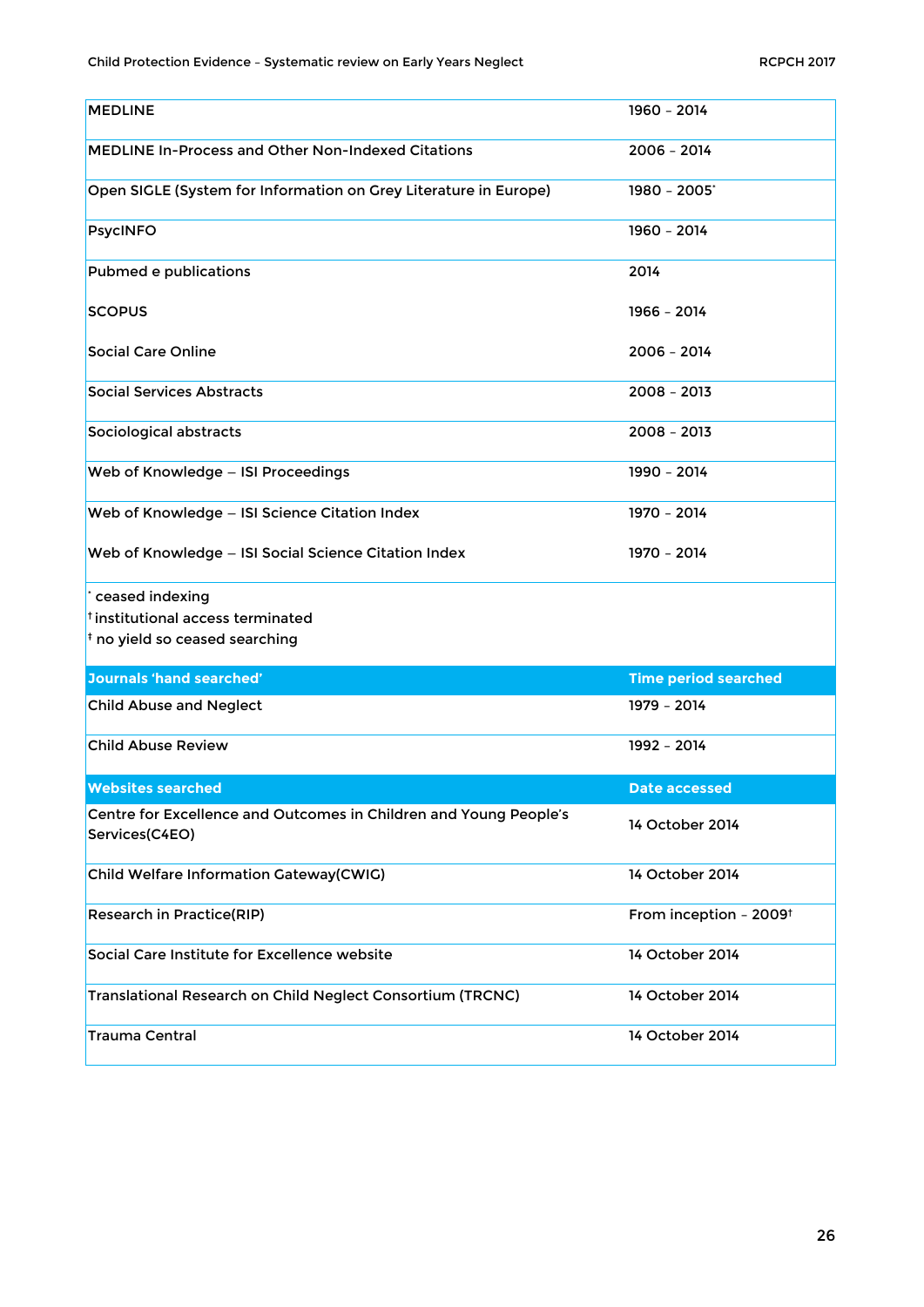<span id="page-25-0"></span>

| <b>MEDLINE</b>                                                                      | 1960 - 2014                        |
|-------------------------------------------------------------------------------------|------------------------------------|
| <b>MEDLINE In-Process and Other Non-Indexed Citations</b>                           | $2006 - 2014$                      |
| Open SIGLE (System for Information on Grey Literature in Europe)                    | 1980 - 2005*                       |
| <b>PsycINFO</b>                                                                     | 1960 - 2014                        |
| Pubmed e publications                                                               | 2014                               |
| <b>SCOPUS</b>                                                                       | 1966 - 2014                        |
| <b>Social Care Online</b>                                                           | 2006 - 2014                        |
| <b>Social Services Abstracts</b>                                                    | $2008 - 2013$                      |
| Sociological abstracts                                                              | $2008 - 2013$                      |
| Web of Knowledge - ISI Proceedings                                                  | 1990 - 2014                        |
| Web of Knowledge - ISI Science Citation Index                                       | 1970 - 2014                        |
| Web of Knowledge - ISI Social Science Citation Index                                | 1970 - 2014                        |
|                                                                                     |                                    |
|                                                                                     |                                    |
| ceased indexing                                                                     |                                    |
| <sup>†</sup> institutional access terminated                                        |                                    |
| $\frac{1}{3}$ no yield so ceased searching                                          |                                    |
| <b>Journals 'hand searched'</b>                                                     | <b>Time period searched</b>        |
| <b>Child Abuse and Neglect</b>                                                      | 1979 - 2014                        |
| <b>Child Abuse Review</b>                                                           | 1992 - 2014                        |
| <b>Websites searched</b>                                                            | <b>Date accessed</b>               |
|                                                                                     |                                    |
| Centre for Excellence and Outcomes in Children and Young People's<br>Services(C4EO) | 14 October 2014                    |
| Child Welfare Information Gateway(CWIG)                                             | 14 October 2014                    |
| <b>Research in Practice(RIP)</b>                                                    | From inception - 2009 <sup>t</sup> |
| Social Care Institute for Excellence website                                        | 14 October 2014                    |
| Translational Research on Child Neglect Consortium (TRCNC)                          | 14 October 2014                    |